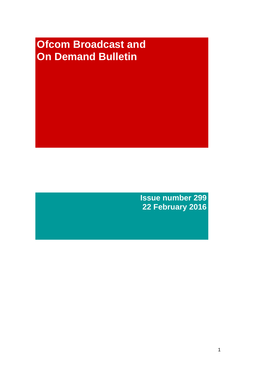# **Ofcom Broadcast and On Demand Bulletin**

**Issue number 299 22 February 2016**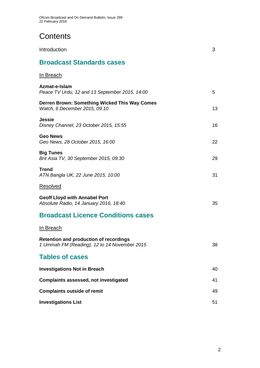# **Contents**

| Introduction                                                                                  | 3  |
|-----------------------------------------------------------------------------------------------|----|
| <b>Broadcast Standards cases</b>                                                              |    |
| <u>In Breach</u>                                                                              |    |
| Azmat-e-Islam<br>Peace TV Urdu, 12 and 13 September 2015, 14:00                               | 5  |
| Derren Brown: Something Wicked This Way Comes<br>Watch, 6 December 2015, 09:10                | 13 |
| <b>Jessie</b><br>Disney Channel, 23 October 2015, 15:55                                       | 16 |
| <b>Geo News</b><br>Geo News, 28 October 2015, 16:00                                           | 22 |
| <b>Big Tunes</b><br>Brit Asia TV, 30 September 2015, 09:30                                    | 29 |
| <b>Trend</b><br>ATN Bangla UK, 22 June 2015, 10:00                                            | 31 |
| <b>Resolved</b>                                                                               |    |
| <b>Geoff Lloyd with Annabel Port</b><br>Absolute Radio, 14 January 2016, 18:40                | 35 |
| <b>Broadcast Licence Conditions cases</b>                                                     |    |
| <u>In Breach</u>                                                                              |    |
| <b>Retention and production of recordings</b><br>1 Ummah FM (Reading), 12 to 14 November 2015 | 38 |
| <b>Tables of cases</b>                                                                        |    |
| <b>Investigations Not in Breach</b>                                                           | 40 |
| <b>Complaints assessed, not investigated</b>                                                  | 41 |
| <b>Complaints outside of remit</b>                                                            | 49 |
| <b>Investigations List</b>                                                                    | 51 |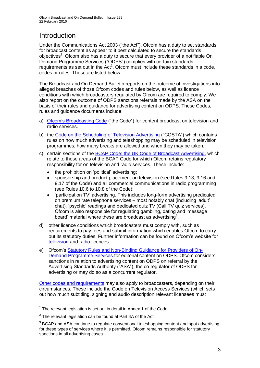# **Introduction**

Under the Communications Act 2003 ("the Act"), Ofcom has a duty to set standards for broadcast content as appear to it best calculated to secure the standards objectives<sup>1</sup>. Ofcom also has a duty to secure that every provider of a notifiable On Demand Programme Services ("ODPS") complies with certain standards requirements as set out in the Act<sup>2</sup>. Ofcom must include these standards in a code, codes or rules. These are listed below.

The Broadcast and On Demand Bulletin reports on the outcome of investigations into alleged breaches of those Ofcom codes and rules below, as well as licence conditions with which broadcasters regulated by Ofcom are required to comply. We also report on the outcome of ODPS sanctions referrals made by the ASA on the basis of their rules and guidance for advertising content on ODPS. These Codes, rules and guidance documents include:

- a) [Ofcom's Broadcasting Code](http://stakeholders.ofcom.org.uk/broadcasting/broadcast-codes/broadcast-code/) ("the Code") for content broadcast on television and radio services.
- b) the [Code on the Scheduling of Television Advertising](http://stakeholders.ofcom.org.uk/broadcasting/broadcast-codes/advert-code/) ("COSTA") which contains rules on how much advertising and teleshopping may be scheduled in television programmes, how many breaks are allowed and when they may be taken.
- c) certain sections of the [BCAP Code: the UK Code of Broadcast Advertising,](https://www.cap.org.uk/Advertising-Codes/Broadcast.aspx) which relate to those areas of the BCAP Code for which Ofcom retains regulatory responsibility for on television and radio services. These include:
	- the prohibition on 'political' advertising;
	- sponsorship and product placement on television (see Rules 9.13, 9.16 and 9.17 of the Code) and all commercial communications in radio programming (see Rules 10.6 to 10.8 of the Code);
	- 'participation TV' advertising. This includes long-form advertising predicated on premium rate telephone services – most notably chat (including 'adult' chat), 'psychic' readings and dedicated quiz TV (Call TV quiz services). Ofcom is also responsible for regulating gambling, dating and 'message board' material where these are broadcast as advertising<sup>3</sup>.
- d) other licence conditions which broadcasters must comply with, such as requirements to pay fees and submit information which enables Ofcom to carry out its statutory duties. Further information can be found on Ofcom's website for [television](http://licensing.ofcom.org.uk/tv-broadcast-licences/) and [radio](http://licensing.ofcom.org.uk/radio-broadcast-licensing/) licences.
- e) Ofcom's [Statutory Rules and Non-Binding Guidance for Providers of On-](http://stakeholders.ofcom.org.uk/binaries/broadcast/on-demand/rules-guidance/rules_and_guidance.pdf)[Demand Programme Services](http://stakeholders.ofcom.org.uk/binaries/broadcast/on-demand/rules-guidance/rules_and_guidance.pdf) for editorial content on ODPS. Ofcom considers sanctions in relation to advertising content on ODPS on referral by the Advertising Standards Authority ("ASA"), the co-regulator of ODPS for advertising or may do so as a concurrent regulator.

[Other codes and requirements](http://stakeholders.ofcom.org.uk/broadcasting/broadcast-codes/) may also apply to broadcasters, depending on their circumstances. These include the Code on Television Access Services (which sets out how much subtitling, signing and audio description relevant licensees must

<sup>1</sup>  $1$  The relevant legislation is set out in detail in Annex 1 of the Code.

 $2$  The relevant legislation can be found at Part 4A of the Act.

 $3$  BCAP and ASA continue to regulate conventional teleshopping content and spot advertising for these types of services where it is permitted. Ofcom remains responsible for statutory sanctions in all advertising cases.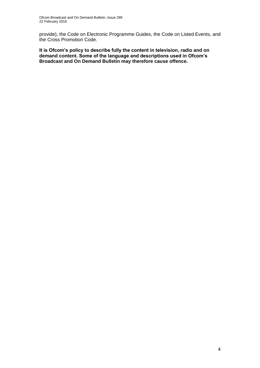provide), the Code on Electronic Programme Guides, the Code on Listed Events, and the Cross Promotion Code.

**It is Ofcom's policy to describe fully the content in television, radio and on demand content. Some of the language and descriptions used in Ofcom's Broadcast and On Demand Bulletin may therefore cause offence.**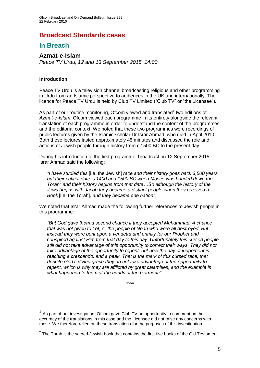### **Broadcast Standards cases**

### **In Breach**

### **Azmat-e-Islam**

*Peace TV Urdu, 12 and 13 September 2015, 14:00*

#### **Introduction**

1

Peace TV Urdu is a television channel broadcasting religious and other programming in Urdu from an Islamic perspective to audiences in the UK and internationally. The licence for Peace TV Urdu is held by Club TV Limited ("Club TV" or "the Licensee").

As part of our routine monitoring, Ofcom viewed and translated<sup>1</sup> two editions of *Azmat-e-Islam*. Ofcom viewed each programme in its entirety alongside the relevant translation of each programme in order to understand the content of the programmes and the editorial context. We noted that these two programmes were recordings of public lectures given by the Islamic scholar Dr Israr Ahmad, who died in April 2010. Both these lectures lasted approximately 45 minutes and discussed the role and actions of Jewish people through history from c.1500 BC to the present day.

During his introduction to the first programme, broadcast on 12 September 2015, Israr Ahmad said the following:

*"I have studied this* [i.e. the Jewish] *race and their history goes back 3,500 years but their critical date is 1400 and 1500 BC when Moses was handed down the Torah*<sup>2</sup> and their history begins from that date... So although the history of the *Jews begins with Jacob they became a distinct people when they received a Book* [i.e. the Torah]*, and they became one nation".*

We noted that Israr Ahmad made the following further references to Jewish people in this programme:

*"But God gave them a second chance if they accepted Muhammad. A chance that was not given to Lot, or the people of Noah who were all destroyed. But instead they were bent upon a vendetta and enmity for our Prophet and conspired against Him from that day to this day. Unfortunately this cursed people still did not take advantage of this opportunity to correct their ways. They did not take advantage of the opportunity to repent, but now the day of judgement is reaching a crescendo, and a peak. That is the mark of this cursed race, that despite God's divine grace they do not take advantage of the opportunity to repent, which is why they are afflicted by great calamities, and the example is what happened to them at the hands of the Germans".*

*\*\*\*\**

 $1$  As part of our investigation, Ofcom gave Club TV an opportunity to comment on the accuracy of the translations in this case and the Licensee did not raise any concerns with these. We therefore relied on these translations for the purposes of this investigation.

 $2$  The Torah is the sacred Jewish book that contains the first five books of the Old Testament.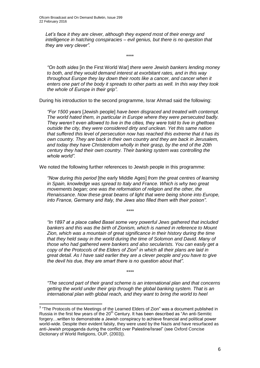*Let's face it they are clever, although they expend most of their energy and intelligence in hatching conspiracies – evil genius, but there is no question that they are very clever".*

\*\*\*\*

*"On both sides* [in the First World War] *there were Jewish bankers lending money to both, and they would demand interest at exorbitant rates, and in this way throughout Europe they lay down their roots like a cancer, and cancer when it enters one part of the body it spreads to other parts as well. In this way they took the whole of Europe in their grip".*

During his introduction to the second programme, Israr Ahmad said the following:

*"For 1500 years* [Jewish people] *have been disgraced and treated with contempt. The world hated them, in particular in Europe where they were persecuted badly. They weren't even allowed to live in the cities, they were told to live in ghettoes outside the city, they were considered dirty and unclean. Yet this same nation that suffered this level of persecution now has reached this extreme that it has its own country. They are back in their own country and they are back in Jerusalem, and today they have Christendom wholly in their grasp, by the end of the 20th century they had their own country. Their banking system was controlling the whole world".*

We noted the following further references to Jewish people in this programme:

*"Now during this period* [the early Middle Ages] *from the great centres of learning in Spain, knowledge was spread to Italy and France. Which is why two great movements began; one was the reformation of religion and the other, the Renaissance. Now these great beams of light that were being shone into Europe, into France, Germany and Italy, the Jews also filled them with their poison".*

*\*\*\*\**

*"In 1897 at a place called Basel some very powerful Jews gathered that included bankers and this was the birth of Zionism, which is named in reference to Mount Zion, which was a mountain of great significance in their history during the time that they held sway in the world during the time of Solomon and David. Many of those who had gathered were bankers and also secularists. You can easily get a copy of the Protocols of the Elders of Zion*<sup>3</sup> *in which all their plans are laid in great detail. As I have said earlier they are a clever people and you have to give the devil his due, they are smart there is no question about that".*

*"The second part of their grand scheme is an international plan and that concerns getting the world under their grip through the global banking system. That is an international plan with global reach, and they want to bring the world to heel* 

*\*\*\*\**

1

 $3$  "The Protocols of the Meetings of the Learned Elders of Zion" was a document published in Russia in the first few years of the  $20<sup>th</sup>$  Century. It has been described as "An anti-Semitic forgery…written to demonstrate a Jewish conspiracy to achieve financial and political power world-wide. Despite their evident falsity, they were used by the Nazis and have resurfaced as anti-Jewish propaganda during the conflict over Palestine/Israel" (see Oxford Concise Dictionary of World Religions, OUP, (2003)).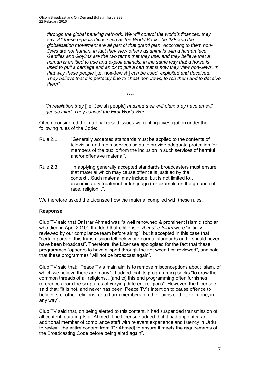*through the global banking network. We will control the world's finances, they say. All these organisations such as the World Bank, the IMF and the globalisation movement are all part of that grand plan. According to them non-Jews are not human, in fact they view others as animals with a human face. Gentiles and Goyims are the two terms that they use, and they believe that a human is entitled to use and exploit animals, in the same way that a horse is used to pull a carriage and an ox to pull a cart that is how they view non-Jews. In that way these people* [i.e. non-Jewish] *can be used, exploited and deceived. They believe that it is perfectly fine to cheat non-Jews, to rob them and to deceive them".*

*\*\*\*\**

*"In retaliation they* [i.e. Jewish people] *hatched their evil plan; they have an evil genius mind. They caused the First World War".*

Ofcom considered the material raised issues warranting investigation under the following rules of the Code:

- Rule 2.1: "Generally accepted standards must be applied to the contents of television and radio services so as to provide adequate protection for members of the public from the inclusion in such services of harmful and/or offensive material".
- Rule 2.3: "In applying generally accepted standards broadcasters must ensure that material which may cause offence is justified by the context…Such material may include, but is not limited to… discriminatory treatment or language (for example on the grounds of… race, religion...".

We therefore asked the Licensee how the material complied with these rules.

#### **Response**

Club TV said that Dr Israr Ahmed was "a well renowned & prominent Islamic scholar who died in April 2010". It added that editions of *Azmat-e-Islam* were "initially reviewed by our compliance team before airing", but it accepted in this case that "certain parts of this transmission fell below our normal standards and…should never have been broadcast". Therefore, the Licensee apologised for the fact that these programmes "appears to have slipped through the net when first reviewed", and said that these programmes "will not be broadcast again".

Club TV said that: "Peace TV's main aim is to remove misconceptions about Islam, of which we believe there are many". It added that its programming seeks "to draw the common threads of all religions…[and to] this end programming often furnishes references from the scriptures of varying different religions". However, the Licensee said that: "It is not, and never has been, Peace TV's intention to cause offence to believers of other religions, or to harm members of other faiths or those of none, in any way".

Club TV said that, on being alerted to this content, it had suspended transmission of all content featuring Israr Ahmed. The Licensee added that it had appointed an additional member of compliance staff with relevant experience and fluency in Urdu to review "the entire content from [Dr Ahmed] to ensure it meets the requirements of the Broadcasting Code before being aired again".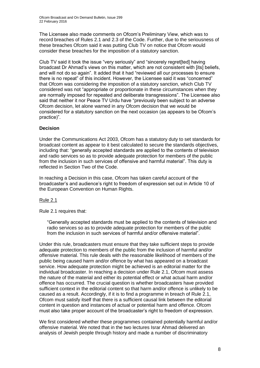The Licensee also made comments on Ofcom's Preliminary View, which was to record breaches of Rules 2.1 and 2.3 of the Code. Further, due to the seriousness of these breaches Ofcom said it was putting Club TV on notice that Ofcom would consider these breaches for the imposition of a statutory sanction.

Club TV said it took the issue "very seriously" and "sincerely regret[ted] having broadcast Dr Ahmad's views on this matter, which are not consistent with [its] beliefs, and will not do so again". It added that it had "reviewed all our processes to ensure there is no repeat" of this incident. However, the Licensee said it was "concerned" that Ofcom was considering the imposition of a statutory sanction, which Club TV considered was not "appropriate or proportionate in these circumstances when they are normally imposed for repeated and deliberate transgressions". The Licensee also said that neither it nor Peace TV Urdu have "previously been subject to an adverse Ofcom decision, let alone warned in any Ofcom decision that we would be considered for a statutory sanction on the next occasion (as appears to be Ofcom's practice)".

#### **Decision**

Under the Communications Act 2003, Ofcom has a statutory duty to set standards for broadcast content as appear to it best calculated to secure the standards objectives, including that: "generally accepted standards are applied to the contents of television and radio services so as to provide adequate protection for members of the public from the inclusion in such services of offensive and harmful material". This duty is reflected in Section Two of the Code.

In reaching a Decision in this case, Ofcom has taken careful account of the broadcaster's and audience's right to freedom of expression set out in Article 10 of the European Convention on Human Rights.

#### Rule 2.1

Rule 2.1 requires that:

"Generally accepted standards must be applied to the contents of television and radio services so as to provide adequate protection for members of the public from the inclusion in such services of harmful and/or offensive material".

Under this rule, broadcasters must ensure that they take sufficient steps to provide adequate protection to members of the public from the inclusion of harmful and/or offensive material. This rule deals with the reasonable likelihood of members of the public being caused harm and/or offence by what has appeared on a broadcast service. How adequate protection might be achieved is an editorial matter for the individual broadcaster. In reaching a decision under Rule 2.1, Ofcom must assess the nature of the material and either its potential effect or what actual harm and/or offence has occurred. The crucial question is whether broadcasters have provided sufficient context in the editorial content so that harm and/or offence is unlikely to be caused as a result. Accordingly, if it is to find a programme in breach of Rule 2.1, Ofcom must satisfy itself that there is a sufficient causal link between the editorial content in question and instances of actual or potential harm and offence. Ofcom must also take proper account of the broadcaster's right to freedom of expression.

We first considered whether these programmes contained potentially harmful and/or offensive material. We noted that in the two lectures Israr Ahmad delivered an analysis of Jewish people through history and made a number of discriminatory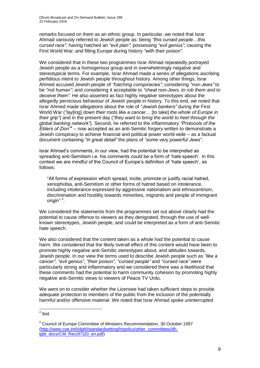remarks focused on them as an ethnic group. In particular, we noted that Israr Ahmad variously referred to Jewish people as: being *"this cursed people…this cursed race"*; having hatched an *"evil plan"*; possessing *"evil genius"*; causing the First World War; and filling Europe during history *"with their poison".* 

We considered that in these two programmes Israr Ahmad repeatedly portrayed Jewish people as a homogenous group and in overwhelmingly negative and stereotypical terms. For example, Israr Ahmad made a series of allegations ascribing perfidious intent to Jewish people throughout history. Among other things, Israr Ahmed accused Jewish people of *"hatching conspiracies"*; considering *"non-Jews"* to be *"not human";* and considering it acceptable to *"cheat non-Jews, to rob them and to deceive them".* He also asserted as fact highly negative stereotypes about the allegedly pernicious behaviour of Jewish people in history. To this end, we noted that Israr Ahmed made allegations about the role of *"Jewish bankers"* during the First World War (*"lay*[ing] *down their roots like a cancer…* [to take] *the whole of Europe in their grip"*) and in the present day (*"they want to bring the world to heel through the global banking network"*)*.* Second, he referred to the inflammatory *"Protocols of the Elders of Zion"<sup>4</sup>* – now accepted as an anti-Semitic forgery written to demonstrate a Jewish conspiracy to achieve financial and political power world-wide – as a factual document containing *"in great detail"* the plans of *"some very powerful Jews".*

Israr Ahmad's comments, in our view, had the potential to be interpreted as spreading anti-Semitism i.e. his comments could be a form of 'hate speech'. In this context we are mindful of the Council of Europe's definition of 'hate speech', as follows:

"All forms of expression which spread, incite, promote or justify racial hatred, xenophobia, anti-Semitism or other forms of hatred based on intolerance, including intolerance expressed by aggressive nationalism and ethnocentrism, discrimination and hostility towards minorities, migrants and people of immigrant origin"<sup>5</sup>.

We considered the statements from the programmes set out above clearly had the potential to cause offence to viewers as they denigrated, through the use of wellknown stereotypes, Jewish people, and could be interpreted as a form of anti-Semitic hate speech.

We also considered that the content taken as a whole had the potential to cause harm. We considered that the likely overall effect of this content would have been to promote highly negative anti-Semitic stereotypes about, and attitudes towards, Jewish people. In our view the terms used to describe Jewish people such as *"like a cancer"*, *"evil genius"*, *"their poison"*, *"cursed people"* and *"cursed race"* were particularly strong and inflammatory and we considered there was a likelihood that these comments had the potential to harm community cohesion by promoting highly negative anti-Semitic views to viewers of Peace TV Urdu.

We went on to consider whether the Licensee had taken sufficient steps to provide adequate protection to members of the public from the inclusion of the potentially harmful and/or offensive material. We noted that Israr Ahmad spoke uninterrupted

 4 Ibid.

<sup>5</sup> Council of Europe Committee of Ministers Recommendation, 30 October 1997 [\(http://www.coe.int/t/dghl/standardsetting/hrpolicy/other\\_committees/dh](http://www.coe.int/t/dghl/standardsetting/hrpolicy/other_committees/dh-lgbt_docs/CM_Rec(97)20_en.pdf)[lgbt\\_docs/CM\\_Rec\(97\)20\\_en.pdf\)](http://www.coe.int/t/dghl/standardsetting/hrpolicy/other_committees/dh-lgbt_docs/CM_Rec(97)20_en.pdf)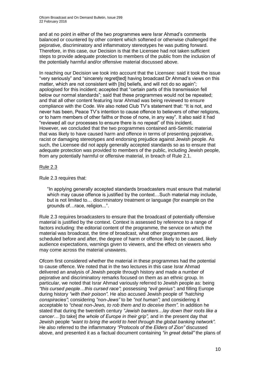and at no point in either of the two programmes were Israr Ahmad's comments balanced or countered by other content which softened or otherwise challenged the pejorative, discriminatory and inflammatory stereotypes he was putting forward. Therefore, in this case, our Decision is that the Licensee had not taken sufficient steps to provide adequate protection to members of the public from the inclusion of the potentially harmful and/or offensive material discussed above.

In reaching our Decision we took into account that the Licensee: said it took the issue "very seriously" and "sincerely regret[ted] having broadcast Dr Ahmad's views on this matter, which are not consistent with [its] beliefs, and will not do so again"; apologised for this incident; accepted that "certain parts of this transmission fell below our normal standards"; said that these programmes would not be repeated; and that all other content featuring Israr Ahmad was being reviewed to ensure compliance with the Code. We also noted Club TV's statement that: "It is not, and never has been, Peace TV's intention to cause offence to believers of other religions, or to harm members of other faiths or those of none, in any way". It also said it had "reviewed all our processes to ensure there is no repeat" of this incident. However, we concluded that the two programmes contained anti-Semitic material that was likely to have caused harm and offence in terms of presenting pejorative, racist or damaging stereotypes and endorsing prejudice against Jewish people. As such, the Licensee did not apply generally accepted standards so as to ensure that adequate protection was provided to members of the public, including Jewish people, from any potentially harmful or offensive material, in breach of Rule 2.1.

#### Rule 2.3

Rule 2.3 requires that:

"In applying generally accepted standards broadcasters must ensure that material which may cause offence is justified by the context...Such material may include, but is not limited to… discriminatory treatment or language (for example on the grounds of…race, religion...".

Rule 2.3 requires broadcasters to ensure that the broadcast of potentially offensive material is justified by the context. Context is assessed by reference to a range of factors including: the editorial content of the programme, the service on which the material was broadcast, the time of broadcast, what other programmes are scheduled before and after, the degree of harm or offence likely to be caused, likely audience expectations, warnings given to viewers, and the effect on viewers who may come across the material unawares.

Ofcom first considered whether the material in these programmes had the potential to cause offence. We noted that in the two lectures in this case Israr Ahmad delivered an analysis of Jewish people through history and made a number of pejorative and discriminatory remarks focused on them as an ethnic group. In particular, we noted that Israr Ahmad variously referred to Jewish people as: being *"this cursed people…this cursed race"*; possessing *"evil genius"*; and filling Europe during history *"with their poison".* He also accused Jewish people of *"hatching conspiracies"*; considering *"non-Jews"* to be *"not human";* and considering it acceptable to *"cheat non-Jews, to rob them and to deceive them"*. In addition he stated that during the twentieth century *"Jewish bankers…lay down their roots like a cancer…* [to take] *the whole of Europe in their grip",* and in the present day that Jewish people *"want to bring the world to heel through the global banking network".* He also referred to the inflammatory *"Protocols of the Elders of Zion"* discussed above, and presented it as a factual document containing *"in great detail"* the plans of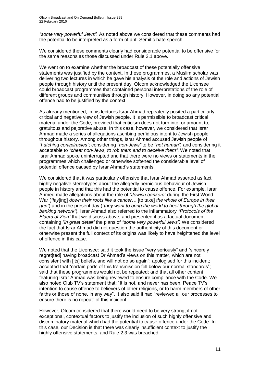*"some very powerful Jews".* As noted above we considered that these comments had the potential to be interpreted as a form of anti-Semitic hate speech.

We considered these comments clearly had considerable potential to be offensive for the same reasons as those discussed under Rule 2.1 above.

We went on to examine whether the broadcast of these potentially offensive statements was justified by the context. In these programmes, a Muslim scholar was delivering two lectures in which he gave his analysis of the role and actions of Jewish people through history until the present day. Ofcom acknowledged the Licensee could broadcast programmes that contained personal interpretations of the role of different groups and communities through history. However, in doing so any potential offence had to be justified by the context.

As already mentioned, in his lectures Israr Ahmad repeatedly posited a particularly critical and negative view of Jewish people. It is permissible to broadcast critical material under the Code, provided that criticism does not turn into, or amount to, gratuitous and pejorative abuse. In this case, however, we considered that Israr Ahmad made a series of allegations ascribing perfidious intent to Jewish people throughout history. Among other things, Israr Ahmed accused Jewish people of *"hatching conspiracies"*; considering *"non-Jews"* to be *"not human";* and considering it acceptable to *"cheat non-Jews, to rob them and to deceive them"*. We noted that Israr Ahmad spoke uninterrupted and that there were no views or statements in the programmes which challenged or otherwise softened the considerable level of potential offence caused by Israr Ahmad's statements.

We considered that it was particularly offensive that Israr Ahmad asserted as fact highly negative stereotypes about the allegedly pernicious behaviour of Jewish people in history and that this had the potential to cause offence. For example, Israr Ahmed made allegations about the role of *"Jewish bankers"* during the First World War (*"lay*[ing] *down their roots like a cancer…* [to take] *the whole of Europe in their grip"*) and in the present day (*"they want to bring the world to heel through the global banking network"*)*.* Israr Ahmad also referred to the inflammatory *"Protocols of the Elders of Zion"* that we discuss above, and presented it as a factual document containing *"in great detail"* the plans of *"some very powerful Jews".* We considered the fact that Israr Ahmad did not question the authenticity of this document or otherwise present the full context of its origins was likely to have heightened the level of offence in this case.

We noted that the Licensee: said it took the issue "very seriously" and "sincerely regret[ted] having broadcast Dr Ahmad's views on this matter, which are not consistent with [its] beliefs, and will not do so again"; apologised for this incident; accepted that "certain parts of this transmission fell below our normal standards"; said that these programmes would not be repeated; and that all other content featuring Israr Ahmad was being reviewed to ensure compliance with the Code. We also noted Club TV's statement that: "It is not, and never has been, Peace TV's intention to cause offence to believers of other religions, or to harm members of other faiths or those of none, in any way". It also said it had "reviewed all our processes to ensure there is no repeat" of this incident.

However, Ofcom considered that there would need to be very strong, if not exceptional, contextual factors to justify the inclusion of such highly offensive and discriminatory material which had the potential to cause offence under the Code. In this case, our Decision is that there was clearly insufficient context to justify the highly offensive statements, and Rule 2.3 was breached.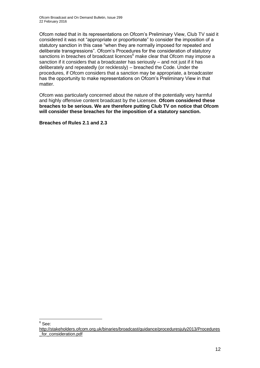Ofcom noted that in its representations on Ofcom's Preliminary View, Club TV said it considered it was not "appropriate or proportionate" to consider the imposition of a statutory sanction in this case "when they are normally imposed for repeated and deliberate transgressions". Ofcom's Procedures for the consideration of statutory sanctions in breaches of broadcast licences<sup>6</sup> make clear that Ofcom may impose a sanction if it considers that a broadcaster has seriously – and not just if it has deliberately and repeatedly (or recklessly) – breached the Code. Under the procedures, if Ofcom considers that a sanction may be appropriate, a broadcaster has the opportunity to make representations on Ofcom's Preliminary View in that matter.

Ofcom was particularly concerned about the nature of the potentially very harmful and highly offensive content broadcast by the Licensee. **Ofcom considered these breaches to be serious. We are therefore putting Club TV on notice that Ofcom will consider these breaches for the imposition of a statutory sanction.**

**Breaches of Rules 2.1 and 2.3**

<sup>1</sup>  $^6$  See:

[http://stakeholders.ofcom.org.uk/binaries/broadcast/guidance/proceduresjuly2013/Procedures](http://stakeholders.ofcom.org.uk/binaries/broadcast/guidance/proceduresjuly2013/Procedures_for_consideration.pdf) for consideration.pdf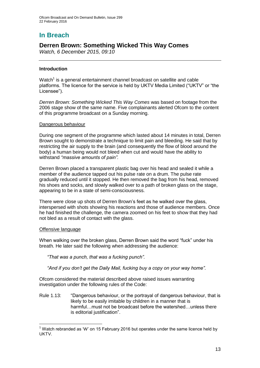# **In Breach**

### **Derren Brown: Something Wicked This Way Comes**

*Watch, 6 December 2015, 09:10*

#### **Introduction**

Watch<sup>1</sup> is a general entertainment channel broadcast on satellite and cable platforms. The licence for the service is held by UKTV Media Limited ("UKTV" or "the Licensee").

*Derren Brown: Something Wicked This Way Comes* was based on footage from the 2006 stage show of the same name. Five complainants alerted Ofcom to the content of this programme broadcast on a Sunday morning.

#### Dangerous behaviour

During one segment of the programme which lasted about 14 minutes in total, Derren Brown sought to demonstrate a technique to limit pain and bleeding. He said that by restricting the air supply to the brain (and consequently the flow of blood around the body) a human being would not bleed when cut and would have the ability to withstand *"massive amounts of pain".*

Derren Brown placed a transparent plastic bag over his head and sealed it while a member of the audience tapped out his pulse rate on a drum. The pulse rate gradually reduced until it stopped. He then removed the bag from his head, removed his shoes and socks, and slowly walked over to a path of broken glass on the stage, appearing to be in a state of semi-consciousness.

There were close up shots of Derren Brown's feet as he walked over the glass, interspersed with shots showing his reactions and those of audience members. Once he had finished the challenge, the camera zoomed on his feet to show that they had not bled as a result of contact with the glass.

#### Offensive language

1

When walking over the broken glass, Derren Brown said the word "fuck" under his breath. He later said the following when addressing the audience:

*"That was a punch, that was a fucking punch".*

*"And if you don't get the Daily Mail, fucking buy a copy on your way home".*

Ofcom considered the material described above raised issues warranting investigation under the following rules of the Code:

Rule 1.13: "Dangerous behaviour, or the portrayal of dangerous behaviour, that is likely to be easily imitable by children in a manner that is harmful... must not be broadcast before the watershed... unless there is editorial justification".

<sup>&</sup>lt;sup>1</sup> Watch rebranded as 'W' on 15 February 2016 but operates under the same licence held by **UKTV**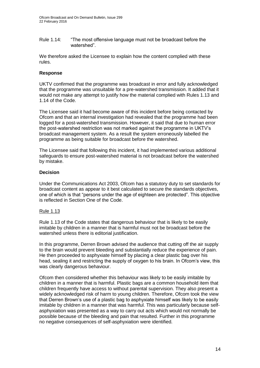Rule 1.14: "The most offensive language must not be broadcast before the watershed".

We therefore asked the Licensee to explain how the content complied with these rules.

#### **Response**

UKTV confirmed that the programme was broadcast in error and fully acknowledged that the programme was unsuitable for a pre-watershed transmission. It added that it would not make any attempt to justify how the material complied with Rules 1.13 and 1.14 of the Code.

The Licensee said it had become aware of this incident before being contacted by Ofcom and that an internal investigation had revealed that the programme had been logged for a post-watershed transmission. However, it said that due to human error the post-watershed restriction was not marked against the programme in UKTV's broadcast management system. As a result the system erroneously labelled the programme as being suitable for broadcast before the watershed.

The Licensee said that following this incident, it had implemented various additional safeguards to ensure post-watershed material is not broadcast before the watershed by mistake.

#### **Decision**

Under the Communications Act 2003, Ofcom has a statutory duty to set standards for broadcast content as appear to it best calculated to secure the standards objectives, one of which is that "persons under the age of eighteen are protected". This objective is reflected in Section One of the Code.

#### Rule 1.13

Rule 1.13 of the Code states that dangerous behaviour that is likely to be easily imitable by children in a manner that is harmful must not be broadcast before the watershed unless there is editorial justification.

In this programme, Derren Brown advised the audience that cutting off the air supply to the brain would prevent bleeding and substantially reduce the experience of pain. He then proceeded to asphyxiate himself by placing a clear plastic bag over his head, sealing it and restricting the supply of oxygen to his brain. In Ofcom's view, this was clearly dangerous behaviour.

Ofcom then considered whether this behaviour was likely to be easily imitable by children in a manner that is harmful. Plastic bags are a common household item that children frequently have access to without parental supervision. They also present a widely acknowledged risk of harm to young children. Therefore, Ofcom took the view that Derren Brown's use of a plastic bag to asphyxiate himself was likely to be easily imitable by children in a manner that was harmful. This was particularly because selfasphyxiation was presented as a way to carry out acts which would not normally be possible because of the bleeding and pain that resulted. Further in this programme no negative consequences of self-asphyxiation were identified.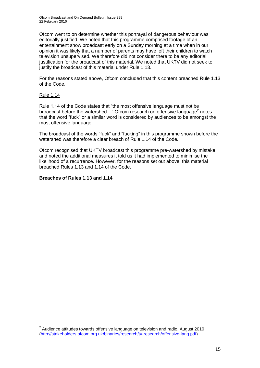Ofcom went to on determine whether this portrayal of dangerous behaviour was editorially justified. We noted that this programme comprised footage of an entertainment show broadcast early on a Sunday morning at a time when in our opinion it was likely that a number of parents may have left their children to watch television unsupervised. We therefore did not consider there to be any editorial justification for the broadcast of this material. We noted that UKTV did not seek to justify the broadcast of this material under Rule 1.13.

For the reasons stated above, Ofcom concluded that this content breached Rule 1.13 of the Code.

#### Rule 1.14

1

Rule 1.14 of the Code states that "the most offensive language must not be broadcast before the watershed..." Ofcom research on offensive language<sup>2</sup> notes that the word "fuck" or a similar word is considered by audiences to be amongst the most offensive language.

The broadcast of the words "fuck" and "fucking" in this programme shown before the watershed was therefore a clear breach of Rule 1.14 of the Code.

Ofcom recognised that UKTV broadcast this programme pre-watershed by mistake and noted the additional measures it told us it had implemented to minimise the likelihood of a recurrence. However, for the reasons set out above, this material breached Rules 1.13 and 1.14 of the Code.

#### **Breaches of Rules 1.13 and 1.14**

 $2$  Audience attitudes towards offensive language on television and radio, August 2010 [\(http://stakeholders.ofcom.org.uk/binaries/research/tv-research/offensive-lang.pdf\)](http://stakeholders.ofcom.org.uk/binaries/research/tv-research/offensive-lang.pdf).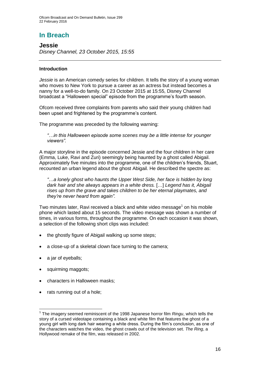# **In Breach**

**Jessie** *Disney Channel, 23 October 2015, 15:55*

#### **Introduction**

*Jessie* is an American comedy series for children. It tells the story of a young woman who moves to New York to pursue a career as an actress but instead becomes a nanny for a well-to-do family. On 23 October 2015 at 15:55, Disney Channel broadcast a "Halloween special" episode from the programme's fourth season.

Ofcom received three complaints from parents who said their young children had been upset and frightened by the programme's content.

The programme was preceded by the following warning:

*"…in this Halloween episode some scenes may be a little intense for younger viewers".*

A major storyline in the episode concerned Jessie and the four children in her care (Emma, Luke, Ravi and Zuri) seemingly being haunted by a ghost called Abigail. Approximately five minutes into the programme, one of the children's friends, Stuart, recounted an urban legend about the ghost Abigail. He described the spectre as:

*"*…*a lonely ghost who haunts the Upper West Side, her face is hidden by long dark hair and she always appears in a white dress.* […] *Legend has it, Abigail rises up from the grave and takes children to be her eternal playmates, and they're never heard from again".*

Two minutes later, Ravi received a black and white video message<sup>1</sup> on his mobile phone which lasted about 15 seconds. The video message was shown a number of times, in various forms, throughout the programme. On each occasion it was shown, a selection of the following short clips was included:

- the ghostly figure of Abigail walking up some steps;
- a close-up of a skeletal clown face turning to the camera;
- a jar of eyeballs;

1

- squirming maggots;
- characters in Halloween masks;
- rats running out of a hole;

<sup>&</sup>lt;sup>1</sup> The imagery seemed reminiscent of the 1998 Japanese horror film *Ringu*, which tells the story of a cursed videotape containing a black and white film that features the ghost of a young girl with long dark hair wearing a white dress. During the film's conclusion, as one of the characters watches the video, the ghost crawls out of the television set. *The Ring*, a Hollywood remake of the film, was released in 2002.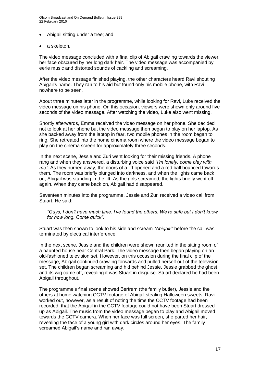Ofcom Broadcast and On Demand Bulletin, Issue 299 22 February 2016

- Abigail sitting under a tree; and,
- a skeleton.

The video message concluded with a final clip of Abigail crawling towards the viewer, her face obscured by her long dark hair. The video message was accompanied by eerie music and distorted sounds of cackling and screaming.

After the video message finished playing, the other characters heard Ravi shouting Abigail's name. They ran to his aid but found only his mobile phone, with Ravi nowhere to be seen.

About three minutes later in the programme, while looking for Ravi, Luke received the video message on his phone. On this occasion, viewers were shown only around five seconds of the video message. After watching the video, Luke also went missing.

Shortly afterwards, Emma received the video message on her phone. She decided not to look at her phone but the video message then began to play on her laptop. As she backed away from the laptop in fear, two mobile phones in the room began to ring. She retreated into the home cinema room where the video message began to play on the cinema screen for approximately three seconds.

In the next scene, Jessie and Zuri went looking for their missing friends. A phone rang and when they answered, a disturbing voice said *"I'm lonely, come play with me"*. As they hurried away, the doors of a lift opened and a red ball bounced towards them. The room was briefly plunged into darkness, and when the lights came back on, Abigail was standing in the lift. As the girls screamed, the lights briefly went off again. When they came back on, Abigail had disappeared.

Seventeen minutes into the programme, Jessie and Zuri received a video call from Stuart. He said:

*"Guys, I don't have much time. I've found the others. We're safe but I don't know for how long. Come quick".*

Stuart was then shown to look to his side and scream *"Abigail!"* before the call was terminated by electrical interference.

In the next scene, Jessie and the children were shown reunited in the sitting room of a haunted house near Central Park. The video message then began playing on an old-fashioned television set. However, on this occasion during the final clip of the message, Abigail continued crawling forwards and pulled herself out of the television set. The children began screaming and hid behind Jessie. Jessie grabbed the ghost and its wig came off, revealing it was Stuart in disguise. Stuart declared he had been Abigail throughout.

The programme's final scene showed Bertram (the family butler), Jessie and the others at home watching CCTV footage of Abigail stealing Halloween sweets. Ravi worked out, however, as a result of noting the time the CCTV footage had been recorded, that the Abigail in the CCTV footage could not have been Stuart dressed up as Abigail. The music from the video message began to play and Abigail moved towards the CCTV camera. When her face was full screen, she parted her hair, revealing the face of a young girl with dark circles around her eyes. The family screamed Abigail's name and ran away.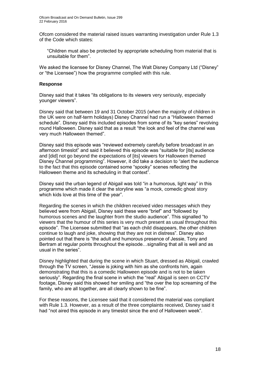Ofcom considered the material raised issues warranting investigation under Rule 1.3 of the Code which states:

"Children must also be protected by appropriate scheduling from material that is unsuitable for them".

We asked the licensee for Disney Channel, The Walt Disney Company Ltd ("Disney" or "the Licensee") how the programme complied with this rule.

#### **Response**

Disney said that it takes "its obligations to its viewers very seriously, especially younger viewers".

Disney said that between 19 and 31 October 2015 (when the majority of children in the UK were on half-term holidays) Disney Channel had run a "Halloween themed schedule". Disney said this included episodes from some of its "key series" revolving round Halloween. Disney said that as a result "the look and feel of the channel was very much Halloween themed".

Disney said this episode was "reviewed extremely carefully before broadcast in an afternoon timeslot" and said it believed this episode was "suitable for [its] audience and [did] not go beyond the expectations of [its] viewers for Halloween themed Disney Channel programming". However, it did take a decision to "alert the audience to the fact that this episode contained some "spooky" scenes reflecting the Halloween theme and its scheduling in that context".

Disney said the urban legend of Abigail was told "in a humorous, light way" in this programme which made it clear the storyline was "a mock, comedic ghost story which kids love at this time of the year".

Regarding the scenes in which the children received video messages which they believed were from Abigail, Disney said these were "brief" and "followed by humorous scenes and the laughter from the studio audience". This signalled "to viewers that the humour of this series is very much present as usual throughout this episode". The Licensee submitted that "as each child disappears, the other children continue to laugh and joke, showing that they are not in distress". Disney also pointed out that there is "the adult and humorous presence of Jessie, Tony and Bertram at regular points throughout the episode…signalling that all is well and as usual in the series".

Disney highlighted that during the scene in which Stuart, dressed as Abigail, crawled through the TV screen, "Jessie is joking with him as she confronts him, again demonstrating that this is a comedic Halloween episode and is not to be taken seriously". Regarding the final scene in which the "real" Abigail is seen on CCTV footage, Disney said this showed her smiling and "the over the top screaming of the family, who are all together, are all clearly shown to be fine".

For these reasons, the Licensee said that it considered the material was compliant with Rule 1.3. However, as a result of the three complaints received, Disney said it had "not aired this episode in any timeslot since the end of Halloween week".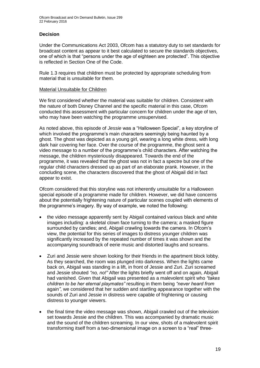#### **Decision**

Under the Communications Act 2003, Ofcom has a statutory duty to set standards for broadcast content as appear to it best calculated to secure the standards objectives, one of which is that "persons under the age of eighteen are protected". This objective is reflected in Section One of the Code.

Rule 1.3 requires that children must be protected by appropriate scheduling from material that is unsuitable for them.

#### Material Unsuitable for Children

We first considered whether the material was suitable for children. Consistent with the nature of both Disney Channel and the specific material in this case, Ofcom conducted this assessment with particular concern for children under the age of ten, who may have been watching the programme unsupervised.

As noted above, this episode of *Jessie* was a "Halloween Special", a key storyline of which involved the programme's main characters seemingly being haunted by a ghost. The ghost was depicted as a young girl, wearing a long white dress, with long dark hair covering her face. Over the course of the programme, the ghost sent a video message to a number of the programme's child characters. After watching the message, the children mysteriously disappeared. Towards the end of the programme, it was revealed that the ghost was not in fact a spectre but one of the regular child characters dressed up as part of an elaborate prank. However, in the concluding scene, the characters discovered that the ghost of Abigail did in fact appear to exist.

Ofcom considered that this storyline was not inherently unsuitable for a Halloween special episode of a programme made for children. However, we did have concerns about the potentially frightening nature of particular scenes coupled with elements of the programme's imagery. By way of example, we noted the following:

- the video message apparently sent by Abigail contained various black and white images including: a skeletal clown face turning to the camera; a masked figure surrounded by candles; and, Abigail crawling towards the camera. In Ofcom's view, the potential for this series of images to distress younger children was significantly increased by the repeated number of times it was shown and the accompanying soundtrack of eerie music and distorted laughs and screams.
- Zuri and Jessie were shown looking for their friends in the apartment block lobby. As they searched, the room was plunged into darkness. When the lights came back on, Abigail was standing in a lift, in front of Jessie and Zuri. Zuri screamed and Jessie shouted *"no, no!"* After the lights briefly went off and on again, Abigail had vanished. Given that Abigail was presented as a malevolent spirit who *"takes children to be her eternal playmates"* resulting in them being *"never heard from*  again*"*, we considered that her sudden and startling appearance together with the sounds of Zuri and Jessie in distress were capable of frightening or causing distress to younger viewers.
- the final time the video message was shown, Abigail crawled out of the television set towards Jessie and the children. This was accompanied by dramatic music and the sound of the children screaming. In our view, shots of a malevolent spirit transforming itself from a two-dimensional image on a screen to a "real" three-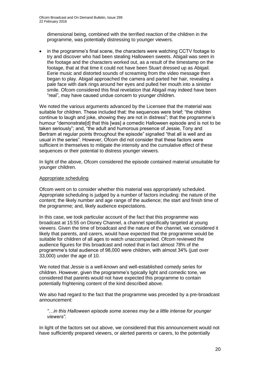dimensional being, combined with the terrified reaction of the children in the programme, was potentially distressing to younger viewers.

• in the programme's final scene, the characters were watching CCTV footage to try and discover who had been stealing Halloween sweets. Abigail was seen in the footage and the characters worked out, as a result of the timestamp on the footage, that at that time it could not have been Stuart dressed up as Abigail. Eerie music and distorted sounds of screaming from the video message then began to play. Abigail approached the camera and parted her hair, revealing a pale face with dark rings around her eyes and pulled her mouth into a sinister smile. Ofcom considered this final revelation that Abigail may indeed have been "real", may have caused undue concern to younger children.

We noted the various arguments advanced by the Licensee that the material was suitable for children. These included that: the sequences were brief; "the children continue to laugh and joke, showing they are not in distress"; that the programme's humour "demonstrate[d] that this [was] a comedic Halloween episode and is not to be taken seriously"; and, "the adult and humorous presence of Jessie, Tony and Bertram at regular points throughout the episode" signalled "that all is well and as usual in the series". However, Ofcom did not consider that these factors were sufficient in themselves to mitigate the intensity and the cumulative effect of these sequences or their potential to distress younger viewers.

In light of the above, Ofcom considered the episode contained material unsuitable for younger children.

#### Appropriate scheduling

Ofcom went on to consider whether this material was appropriately scheduled. Appropriate scheduling is judged by a number of factors including: the nature of the content; the likely number and age range of the audience; the start and finish time of the programme; and, likely audience expectations.

In this case, we took particular account of the fact that this programme was broadcast at 15:55 on Disney Channel, a channel specifically targeted at young viewers. Given the time of broadcast and the nature of the channel, we considered it likely that parents, and carers, would have expected that the programme would be suitable for children of all ages to watch unaccompanied. Ofcom reviewed the audience figures for this broadcast and noted that in fact almost 78% of the programme's total audience of 98,000 were children, with almost 34% (just over 33,000) under the age of 10.

We noted that *Jessie* is a well-known and well-established comedy series for children. However, given the programme's typically light and comedic tone, we considered that parents would not have expected this programme to contain potentially frightening content of the kind described above.

We also had regard to the fact that the programme was preceded by a pre-broadcast announcement:

*"…in this Halloween episode some scenes may be a little intense for younger viewers".*

In light of the factors set out above, we considered that this announcement would not have sufficiently prepared viewers, or alerted parents or carers, to the potentially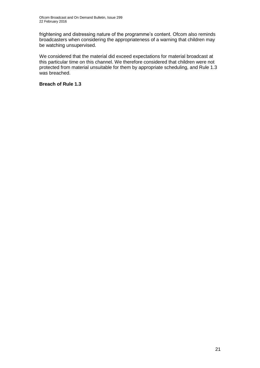frightening and distressing nature of the programme's content. Ofcom also reminds broadcasters when considering the appropriateness of a warning that children may be watching unsupervised.

We considered that the material did exceed expectations for material broadcast at this particular time on this channel. We therefore considered that children were not protected from material unsuitable for them by appropriate scheduling, and Rule 1.3 was breached.

**Breach of Rule 1.3**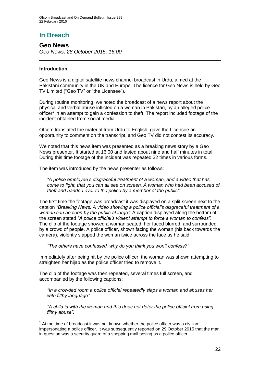### **In Breach**

**Geo News** *Geo News, 28 October 2015, 16:00*

#### **Introduction**

1

Geo News is a digital satellite news channel broadcast in Urdu, aimed at the Pakistani community in the UK and Europe. The licence for Geo News is held by Geo TV Limited ("Geo TV" or "the Licensee").

During routine monitoring, we noted the broadcast of a news report about the physical and verbal abuse inflicted on a woman in Pakistan, by an alleged police officer<sup>1</sup> in an attempt to gain a confession to theft. The report included footage of the incident obtained from social media.

Ofcom translated the material from Urdu to English, gave the Licensee an opportunity to comment on the transcript, and Geo TV did not contest its accuracy.

We noted that this news item was presented as a breaking news story by a Geo News presenter. It started at 16:00 and lasted about nine and half minutes in total. During this time footage of the incident was repeated 32 times in various forms.

The item was introduced by the news presenter as follows:

*"A police employee's disgraceful treatment of a woman, and a video that has come to light, that you can all see on screen. A woman who had been accused of theft and handed over to the police by a member of the public".*

The first time the footage was broadcast it was displayed on a split screen next to the caption *"Breaking News: A video showing a police official's disgraceful treatment of a woman can be seen by the public at large".* A caption displayed along the bottom of the screen stated *"A police official's violent attempt to force a woman to confess"*. The clip of the footage showed a woman seated, her faced blurred, and surrounded by a crowd of people. A police officer, shown facing the woman (his back towards the camera), violently slapped the woman twice across the face as he said:

*"The others have confessed, why do you think you won't confess?"*

Immediately after being hit by the police officer, the woman was shown attempting to straighten her hijab as the police officer tried to remove it.

The clip of the footage was then repeated, several times full screen, and accompanied by the following captions:

*"In a crowded room a police official repeatedly slaps a woman and abuses her with filthy language".*

*"A child is with the woman and this does not deter the police official from using filthy abuse".*

 $1$  At the time of broadcast it was not known whether the police officer was a civilian impersonating a police officer. It was subsequently reported on 29 October 2015 that the man in question was a security guard of a shopping mall posing as a police officer.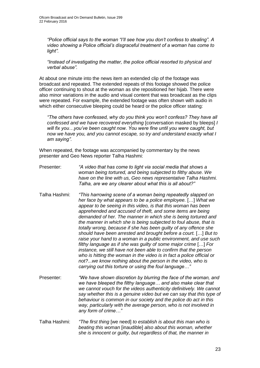*"Police official says to the woman "I'll see how you don't confess to stealing". A video showing a Police official's disgraceful treatment of a woman has come to light".*

*"Instead of investigating the matter, the police official resorted to physical and verbal abuse".*

At about one minute into the news item an extended clip of the footage was broadcast and repeated. The extended repeats of this footage showed the police officer continuing to shout at the woman as she repositioned her hijab. There were also minor variations in the audio and visual content that was broadcast as the clips were repeated. For example, the extended footage was often shown with audio in which either consecutive bleeping could be heard or the police officer stating:

*"The others have confessed, why do you think you won't confess? They have all confessed and we have recovered everything* [conversation masked by bleeps] *I will fix you…you've been caught now. You were fine until you were caught, but now we have you, and you cannot escape, so try and understand exactly what I am saying".*

When repeated, the footage was accompanied by commentary by the news presenter and Geo News reporter Talha Hashmi:

- Presenter: *"A video that has come to light via social media that shows a woman being tortured, and being subjected to filthy abuse. We have on the line with us, Geo news representative Talha Hashmi. Talha, are we any clearer about what this is all about?"*
- Talha Hashmi: *"This harrowing scene of a woman being repeatedly slapped on her face by what appears to be a police employee.* […] *What we appear to be seeing in this video, is that this woman has been apprehended and accused of theft, and some items are being demanded of her. The manner in which she is being tortured and the manner in which she is being subjected to foul abuse, that is totally wrong, because if she has been guilty of any offence she should have been arrested and brought before a court.* […] *But to raise your hand to a woman in a public environment, and use such filthy language as if she was guilty of some major crime* […] *For instance, we still have not been able to confirm that the person who is hitting the woman in the video is in fact a police official or not?*...*we know nothing about the person in the video, who is carrying out this torture or using the foul language…"*
- Presenter: *"We have shown discretion by blurring the face of the woman, and we have bleeped the filthy language… and also make clear that we cannot vouch for the videos authenticity definitively. We cannot say whether this is a genuine video but we can say that this type of behaviour is common in our society and the police do act in this way, particularly with the average person, who is not involved in any form of crime…"*
- Talha Hashmi: *"The first thing* [we need] *to establish is about this man who is beating this woman* [inaudible] *also about this woman, whether she is innocent or guilty, but regardless of that, the manner in*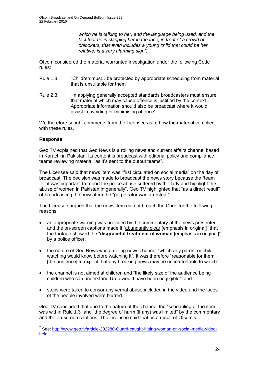*which he is talking to her, and the language being used, and the*  fact that he is slapping her in the face, in front of a crowd of *onlookers, that even includes a young child that could be her relative, is a very alarming sign".*

Ofcom considered the material warranted investigation under the following Code rules:

- Rule 1.3: "Children must…be protected by appropriate scheduling from material that is unsuitable for them".
- Rule 2.3: "In applying generally accepted standards broadcasters must ensure that material which may cause offence is justified by the context… Appropriate information should also be broadcast where it would assist in avoiding or minimising offence".

We therefore sought comments from the Licensee as to how the material complied with these rules.

#### **Response**

Geo TV explained that Geo News is a rolling news and current affairs channel based in Karachi in Pakistan. Its content is broadcast with editorial policy and compliance teams reviewing material "as it's sent to the output teams".

The Licensee said that news item was "first circulated on social media" on the day of broadcast. The decision was made to broadcast the news story because the "team felt it was important to report the police abuse suffered by the lady and highlight the abuse of women in Pakistan in generally". Geo TV highlighted that "as a direct result" of broadcasting the news item the "perpetrator was arrested $2$ ".

The Licensee argued that the news item did not breach the Code for the following reasons:

- an appropriate warning was provided by the commentary of the news presenter and the on-screen captions made it "abundantly clear [emphasis in original]" that the footage showed the "**disgraceful treatment of woman** [emphasis in original]" by a police officer;
- the nature of Geo News was a rolling news channel "which any parent or child watching would know before watching it". It was therefore "reasonable for them [the audience] to expect that any breaking news may be uncomfortable to watch";
- the channel is not aimed at children and "the likely size of the audience being children who can understand Urdu would have been negligible"; and
- steps were taken to censor any verbal abuse included in the video and the faces of the people involved were blurred.

Geo TV concluded that due to the nature of the channel the "scheduling of the item was within Rule 1.3" and "the degree of harm (if any) was limited" by the commentary and the on-screen captions. The Licensee said that as a result of Ofcom's

 2 See: [http://www.geo.tv/article-202280-Guard-caught-hitting-woman-on-social-media-video](http://www.geo.tv/article-202280-Guard-caught-hitting-woman-on-social-media-video-held)[held](http://www.geo.tv/article-202280-Guard-caught-hitting-woman-on-social-media-video-held)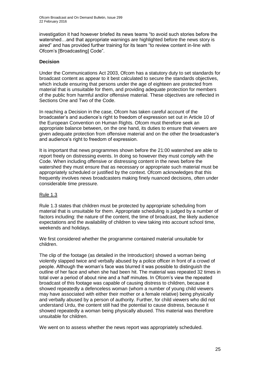investigation it had however briefed its news teams "to avoid such stories before the watershed…and that appropriate warnings are highlighted before the news story is aired" and has provided further training for its team "to review content in-line with Ofcom's [Broadcasting] Code".

#### **Decision**

Under the Communications Act 2003, Ofcom has a statutory duty to set standards for broadcast content as appear to it best calculated to secure the standards objectives, which include ensuring that persons under the age of eighteen are protected from material that is unsuitable for them, and providing adequate protection for members of the public from harmful and/or offensive material. These objectives are reflected in Sections One and Two of the Code.

In reaching a Decision in the case, Ofcom has taken careful account of the broadcaster's and audience's right to freedom of expression set out in Article 10 of the European Convention on Human Rights. Ofcom must therefore seek an appropriate balance between, on the one hand, its duties to ensure that viewers are given adequate protection from offensive material and on the other the broadcaster's and audience's right to freedom of expression.

It is important that news programmes shown before the 21:00 watershed are able to report freely on distressing events. In doing so however they must comply with the Code. When including offensive or distressing content in the news before the watershed they must ensure that as necessary or appropriate such material must be appropriately scheduled or justified by the context. Ofcom acknowledges that this frequently involves news broadcasters making finely nuanced decisions, often under considerable time pressure.

#### Rule 1.3

Rule 1.3 states that children must be protected by appropriate scheduling from material that is unsuitable for them. Appropriate scheduling is judged by a number of factors including: the nature of the content, the time of broadcast, the likely audience expectations and the availability of children to view taking into account school time, weekends and holidays.

We first considered whether the programme contained material unsuitable for children.

The clip of the footage (as detailed in the Introduction) showed a woman being violently slapped twice and verbally abused by a police officer in front of a crowd of people. Although the woman's face was blurred it was possible to distinguish the outline of her face and when she had been hit. The material was repeated 32 times in total over a period of about nine and a half minutes. In Ofcom's view the repeated broadcast of this footage was capable of causing distress to children, because it showed repeatedly a defenceless woman (whom a number of young child viewers may have associated with either their mother or a female relative) being physically and verbally abused by a person of authority. Further, for child viewers who did not understand Urdu, the content still had the potential to cause distress, because it showed repeatedly a woman being physically abused. This material was therefore unsuitable for children.

We went on to assess whether the news report was appropriately scheduled.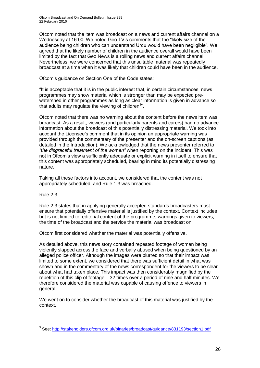Ofcom noted that the item was broadcast on a news and current affairs channel on a Wednesday at 16:00. We noted Geo TV's comments that the "likely size of the audience being children who can understand Urdu would have been negligible". We agreed that the likely number of children in the audience overall would have been limited by the fact that Geo News is a rolling news and current affairs channel. Nevertheless, we were concerned that this unsuitable material was repeatedly broadcast at a time when it was likely that children could have been in the audience.

Ofcom's guidance on Section One of the Code states:

"It is acceptable that it is in the public interest that, in certain circumstances, news programmes may show material which is stronger than may be expected prewatershed in other programmes as long as clear information is given in advance so that adults may regulate the viewing of children $3$ ".

Ofcom noted that there was no warning about the content before the news item was broadcast. As a result, viewers (and particularly parents and carers) had no advance information about the broadcast of this potentially distressing material. We took into account the Licensee's comment that in its opinion an appropriate warning was provided through the commentary of the presenter and the on-screen captions (as detailed in the Introduction). We acknowledged that the news presenter referred to *"the disgraceful treatment of the women"* when reporting on the incident. This was not in Ofcom's view a sufficiently adequate or explicit warning in itself to ensure that this content was appropriately scheduled, bearing in mind its potentially distressing nature.

Taking all these factors into account, we considered that the content was not appropriately scheduled, and Rule 1.3 was breached.

#### Rule 2.3

1

Rule 2.3 states that in applying generally accepted standards broadcasters must ensure that potentially offensive material is justified by the context. Context includes but is not limited to, editorial content of the programme, warnings given to viewers, the time of the broadcast and the service the material was broadcast on.

Ofcom first considered whether the material was potentially offensive.

As detailed above, this news story contained repeated footage of woman being violently slapped across the face and verbally abused when being questioned by an alleged police officer. Although the images were blurred so that their impact was limited to some extent, we considered that there was sufficient detail in what was shown and in the commentary of the news correspondent for the viewers to be clear about what had taken place. This impact was then considerably magnified by the repetition of this clip of footage – 32 times over a period of nine and half minutes. We therefore considered the material was capable of causing offence to viewers in general.

We went on to consider whether the broadcast of this material was justified by the context.

<sup>&</sup>lt;sup>3</sup> See:<http://stakeholders.ofcom.org.uk/binaries/broadcast/guidance/831193/section1.pdf>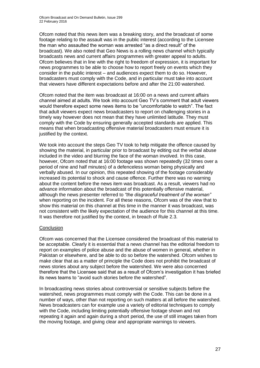Ofcom noted that this news item was a breaking story, and the broadcast of some footage relating to the assault was in the public interest (according to the Licensee the man who assaulted the woman was arrested "as a direct result" of the broadcast). We also noted that Geo News is a rolling news channel which typically broadcasts news and current affairs programmes with greater appeal to adults. Ofcom believes that in line with the right to freedom of expression, it is important for news programmes to be able to choose how to report freely on events which they consider in the public interest – and audiences expect them to do so. However, broadcasters must comply with the Code, and in particular must take into account that viewers have different expectations before and after the 21:00 watershed.

Ofcom noted that the item was broadcast at 16:00 on a news and current affairs channel aimed at adults. We took into account Geo TV's comment that adult viewers would therefore expect some news items to be "uncomfortable to watch". The fact that adult viewers expect news broadcasters to report on challenging stories in a timely way however does not mean that they have unlimited latitude. They must comply with the Code by ensuring generally accepted standards are applied. This means that when broadcasting offensive material broadcasters must ensure it is justified by the context.

We took into account the steps Geo TV took to help mitigate the offence caused by showing the material, in particular prior to broadcast by editing out the verbal abuse included in the video and blurring the face of the woman involved. In this case, however, Ofcom noted that at 16:00 footage was shown repeatedly (32 times over a period of nine and half minutes) of a defenceless woman being physically and verbally abused. In our opinion, this repeated showing of the footage considerably increased its potential to shock and cause offence. Further there was no warning about the content before the news item was broadcast. As a result, viewers had no advance information about the broadcast of this potentially offensive material, although the news presenter referred to *"the disgraceful treatment of the woman"* when reporting on the incident. For all these reasons, Ofcom was of the view that to show this material on this channel at this time in the manner it was broadcast, was not consistent with the likely expectation of the audience for this channel at this time. It was therefore not justified by the context, in breach of Rule 2.3.

#### **Conclusion**

Ofcom was concerned that the Licensee considered the broadcast of this material to be acceptable. Clearly it is essential that a news channel has the editorial freedom to report on examples of police abuse and the abuse of women in general, whether in Pakistan or elsewhere, and be able to do so before the watershed. Ofcom wishes to make clear that as a matter of principle the Code does not prohibit the broadcast of news stories about any subject before the watershed. We were also concerned therefore that the Licensee said that as a result of Ofcom's investigation it has briefed its news teams to "avoid such stories before the watershed".

In broadcasting news stories about controversial or sensitive subjects before the watershed, news programmes must comply with the Code. This can be done in a number of ways, other than not reporting on such matters at all before the watershed. News broadcasters can for example use a variety of editorial techniques to comply with the Code, including limiting potentially offensive footage shown and not repeating it again and again during a short period, the use of still images taken from the moving footage, and giving clear and appropriate warnings to viewers.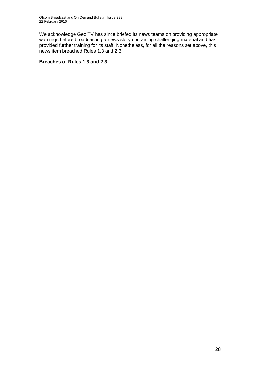We acknowledge Geo TV has since briefed its news teams on providing appropriate warnings before broadcasting a news story containing challenging material and has provided further training for its staff. Nonetheless, for all the reasons set above, this news item breached Rules 1.3 and 2.3.

#### **Breaches of Rules 1.3 and 2.3**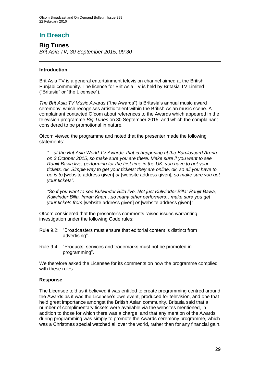# **In Breach**

**Big Tunes** *Brit Asia TV, 30 September 2015, 09:30*

#### **Introduction**

Brit Asia TV is a general entertainment television channel aimed at the British Punjabi community. The licence for Brit Asia TV is held by Britasia TV Limited ("Britasia" or "the Licensee").

*The Brit Asia TV Music Awards* ("the Awards") is Britasia's annual music award ceremony, which recognises artistic talent within the British Asian music scene. A complainant contacted Ofcom about references to the Awards which appeared in the television programme *Big Tunes* on 30 September 2015, and which the complainant considered to be promotional in nature.

Ofcom viewed the programme and noted that the presenter made the following statements:

*"…at the Brit Asia World TV Awards, that is happening at the Barclaycard Arena on 3 October 2015, so make sure you are there. Make sure if you want to see Ranjit Bawa live, performing for the first time in the UK, you have to get your tickets, ok. Simple way to get your tickets: they are online, ok, so all you have to go is to* [website address given] *or* [website address given]*, so make sure you get your tickets"*.

*"So if you want to see Kulwinder Billa live. Not just Kulwinder Billa: Ranjit Bawa, Kulwinder Billa, Imran Khan…so many other performers…make sure you get your tickets from* [website address given] *or* [website address given]*".*

Ofcom considered that the presenter's comments raised issues warranting investigation under the following Code rules:

- Rule 9.2: "Broadcasters must ensure that editorial content is distinct from advertising".
- Rule 9.4: "Products, services and trademarks must not be promoted in programming".

We therefore asked the Licensee for its comments on how the programme complied with these rules.

#### **Response**

The Licensee told us it believed it was entitled to create programming centred around the Awards as it was the Licensee's own event, produced for television, and one that held great importance amongst the British Asian community. Britasia said that a number of complimentary tickets were available via the websites mentioned, in addition to those for which there was a charge, and that any mention of the Awards during programming was simply to promote the Awards ceremony programme, which was a Christmas special watched all over the world, rather than for any financial gain.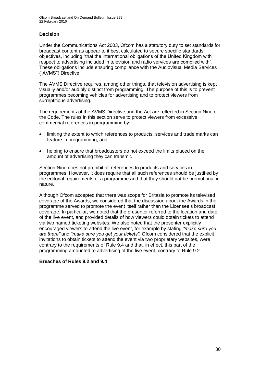#### **Decision**

Under the Communications Act 2003, Ofcom has a statutory duty to set standards for broadcast content as appear to it best calculated to secure specific standards objectives, including "that the international obligations of the United Kingdom with respect to advertising included in television and radio services are complied with". These obligations include ensuring compliance with the Audiovisual Media Services ("AVMS") Directive.

The AVMS Directive requires, among other things, that television advertising is kept visually and/or audibly distinct from programming. The purpose of this is to prevent programmes becoming vehicles for advertising and to protect viewers from surreptitious advertising.

The requirements of the AVMS Directive and the Act are reflected in Section Nine of the Code. The rules in this section serve to protect viewers from excessive commercial references in programming by:

- limiting the extent to which references to products, services and trade marks can feature in programming; and
- helping to ensure that broadcasters do not exceed the limits placed on the amount of advertising they can transmit.

Section Nine does not prohibit all references to products and services in programmes. However, it does require that all such references should be justified by the editorial requirements of a programme and that they should not be promotional in nature.

Although Ofcom accepted that there was scope for Britasia to promote its televised coverage of the Awards, we considered that the discussion about the Awards in the programme served to promote the event itself rather than the Licensee's broadcast coverage. In particular, we noted that the presenter referred to the location and date of the live event, and provided details of how viewers could obtain tickets to attend via two named ticketing websites. We also noted that the presenter explicitly encouraged viewers to attend the live event, for example by stating *"make sure you are there"* and *"make sure you get your tickets"*. Ofcom considered that the explicit invitations to obtain tickets to attend the event via two proprietary websites, were contrary to the requirements of Rule 9.4 and that, in effect, this part of the programming amounted to advertising of the live event, contrary to Rule 9.2.

#### **Breaches of Rules 9.2 and 9.4**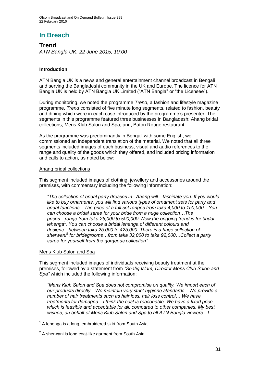# **In Breach**

**Trend** *ATN Bangla UK, 22 June 2015, 10:00*

#### **Introduction**

ATN Bangla UK is a news and general entertainment channel broadcast in Bengali and serving the Bangladeshi community in the UK and Europe. The licence for ATN Bangla UK is held by ATN Bangla UK Limited ("ATN Bangla" or "the Licensee").

During monitoring, we noted the programme *Trend*, a fashion and lifestyle magazine programme. *Trend* consisted of five minute long segments, related to fashion, beauty and dining which were in each case introduced by the programme's presenter. The segments in this programme featured three businesses in Bangladesh: Ahang bridal collections; Mens Klub Salon and Spa; and, Baton Rouge restaurant.

As the programme was predominantly in Bengali with some English, we commissioned an independent translation of the material. We noted that all three segments included images of each business, visual and audio references to the range and quality of the goods which they offered, and included pricing information and calls to action, as noted below:

#### Ahang bridal collections

This segment included images of clothing, jewellery and accessories around the premises, with commentary including the following information:

*"The collection of bridal party dresses in...Ahang will…fascinate you. If you would like to buy ornaments, you will find various types of ornament sets for party and bridal functions…The price of a full set ranges from taka 4,000 to 150,000…You can choose a bridal saree for your bride from a huge collection…The prices…range from taka 25,000 to 500,000. Now the ongoing trend is for bridal lehenga*<sup>1</sup> *. You can choose a bridal lehenga of different colours and designs…between taka 25,000 to 425,000. There is a huge collection of sherwani*<sup>2</sup> *for bridegrooms…from taka 32,000 to taka 92,000…Collect a party saree for yourself from the gorgeous collection".*

#### Mens Klub Salon and Spa

1

This segment included images of individuals receiving beauty treatment at the premises, followed by a statement from *"Shafiq Islam, Director Mens Club Salon and Spa"* which included the following information:

*"Mens Klub Salon and Spa does not compromise on quality. We import each of our products directly…We maintain very strict hygiene standards…We provide a number of hair treatments such as hair loss, hair loss control… We have treatments for damaged…I think the cost is reasonable. We have a fixed price, which is feasible and acceptable for all, compared to other companies. My best wishes, on behalf of Mens Klub Salon and Spa to all ATN Bangla viewers…I* 

 $1$  A lehenga is a long, embroidered skirt from South Asia.

 $2$  A sherwani is long coat-like garment from South Asia.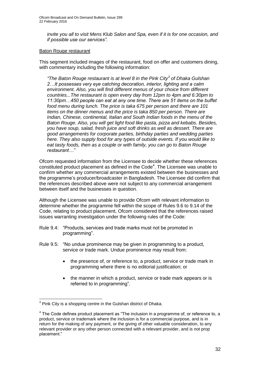*invite you all to visit Mens Klub Salon and Spa, even if it is for one occasion, and if possible use our services".*

#### Baton Rouge restaurant

This segment included images of the restaurant, food on offer and customers dining, with commentary including the following information:

*"The Baton Rouge restaurant is at level 8 in the Pink City<sup>3</sup> of Dhaka Gulshan 2…It possesses very eye catching decoration, interior, lighting and a calm environment. Also, you will find different menus of your choice from different countries...The restaurant is open every day from 12pm to 4pm and 6:30pm to 11:30pm…450 people can eat at any one time. There are 51 items on the buffet food menu during lunch. The price is taka 675 per person and there are 101 items on the dinner menus and the price is taka 850 per person. There are Indian, Chinese, continental, Italian and South Indian foods in the menu of the Baton Rouge. Also, you will get light food like pasta, pizza and kebabs. Besides, you have soup, salad, fresh juice and soft drinks as well as dessert. There are good arrangements for corporate parties, birthday parties and wedding parties here. They also supply food for any types of outside events. If you would like to eat tasty foods, then as a couple or with family, you can go to Baton Rouge restaurant…"*

Ofcom requested information from the Licensee to decide whether these references constituted product placement as defined in the Code<sup>4</sup>. The Licensee was unable to confirm whether any commercial arrangements existed between the businesses and the programme's producer/broadcaster in Bangladesh. The Licensee did confirm that the references described above were not subject to any commercial arrangement between itself and the businesses in question.

Although the Licensee was unable to provide Ofcom with relevant information to determine whether the programme fell within the scope of Rules 9.6 to 9.14 of the Code, relating to product placement, Ofcom considered that the references raised issues warranting investigation under the following rules of the Code:

- Rule 9.4: "Products, services and trade marks must not be promoted in programming".
- Rule 9.5: "No undue prominence may be given in programming to a product, service or trade mark. Undue prominence may result from:
	- the presence of, or reference to, a product, service or trade mark in programming where there is no editorial justification; or
	- the manner in which a product, service or trade mark appears or is referred to in programming".

 3 Pink City is a shopping centre in the Gulshan district of Dhaka.

 $4$  The Code defines product placement as "The inclusion in a programme of, or reference to, a product, service or trademark where the inclusion is for a commercial purpose, and is in return for the making of any payment, or the giving of other valuable consideration, to any relevant provider or any other person connected with a relevant provider, and is not prop placement."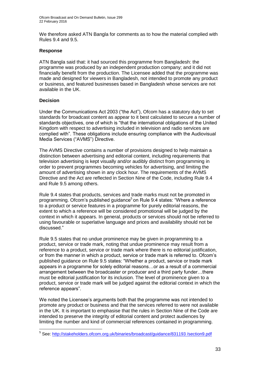We therefore asked ATN Bangla for comments as to how the material complied with Rules 9.4 and 9.5.

#### **Response**

ATN Bangla said that: it had sourced this programme from Bangladesh: the programme was produced by an independent production company; and it did not financially benefit from the production. The Licensee added that the programme was made and designed for viewers in Bangladesh, not intended to promote any product or business, and featured businesses based in Bangladesh whose services are not available in the UK.

#### **Decision**

Under the Communications Act 2003 ("the Act"), Ofcom has a statutory duty to set standards for broadcast content as appear to it best calculated to secure a number of standards objectives, one of which is "that the international obligations of the United Kingdom with respect to advertising included in television and radio services are complied with". These obligations include ensuring compliance with the Audiovisual Media Services ("AVMS") Directive.

The AVMS Directive contains a number of provisions designed to help maintain a distinction between advertising and editorial content, including requirements that television advertising is kept visually and/or audibly distinct from programming in order to prevent programmes becoming vehicles for advertising, and limiting the amount of advertising shown in any clock hour. The requirements of the AVMS Directive and the Act are reflected in Section Nine of the Code, including Rule 9.4 and Rule 9.5 among others.

Rule 9.4 states that products, services and trade marks must not be promoted in programming. Ofcom's published guidance<sup>5</sup> on Rule 9.4 states: "Where a reference to a product or service features in a programme for purely editorial reasons, the extent to which a reference will be considered promotional will be judged by the context in which it appears. In general, products or services should not be referred to using favourable or superlative language and prices and availability should not be discussed."

Rule 9.5 states that no undue prominence may be given in programming to a product, service or trade mark, noting that undue prominence may result from a reference to a product, service or trade mark where there is no editorial justification, or from the manner in which a product, service or trade mark is referred to. Ofcom's published guidance on Rule 9.5 states: "Whether a product, service or trade mark appears in a programme for solely editorial reasons…or as a result of a commercial arrangement between the broadcaster or producer and a third party funder…there must be editorial justification for its inclusion. The level of prominence given to a product, service or trade mark will be judged against the editorial context in which the reference appears".

We noted the Licensee's arguments both that the programme was not intended to promote any product or business and that the services referred to were not available in the UK. It is important to emphasise that the rules in Section Nine of the Code are intended to preserve the integrity of editorial content and protect audiences by limiting the number and kind of commercial references contained in programming.

 5 See: [http://stakeholders.ofcom.org.uk/binaries/broadcast/guidance/831193 /section9.pdf](http://stakeholders.ofcom.org.uk/binaries/broadcast/guidance/831193%20/section9.pdf)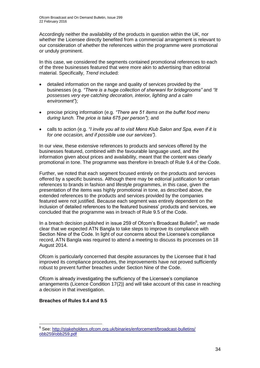Accordingly neither the availability of the products in question within the UK, nor whether the Licensee directly benefited from a commercial arrangement is relevant to our consideration of whether the references within the programme were promotional or unduly prominent.

In this case, we considered the segments contained promotional references to each of the three businesses featured that were more akin to advertising than editorial material. Specifically, *Trend* included:

- detailed information on the range and quality of services provided by the businesses (e.g. *"There is a huge collection of sherwani for bridegrooms"* and *"It possesses very eye catching decoration, interior, lighting and a calm environment"*);
- precise pricing information (e.g. *"There are 51 items on the buffet food menu during lunch. The price is taka 675 per person"*); and
- calls to action (e.g. *"I invite you all to visit Mens Klub Salon and Spa, even if it is for one occasion, and if possible use our services").*

In our view, these extensive references to products and services offered by the businesses featured, combined with the favourable language used, and the information given about prices and availability, meant that the content was clearly promotional in tone. The programme was therefore in breach of Rule 9.4 of the Code.

Further, we noted that each segment focused entirely on the products and services offered by a specific business. Although there may be editorial justification for certain references to brands in fashion and lifestyle programmes, in this case, given the presentation of the items was highly promotional in tone, as described above, the extended references to the products and services provided by the companies featured were not justified. Because each segment was entirely dependent on the inclusion of detailed references to the featured business' products and services, we concluded that the programme was in breach of Rule 9.5 of the Code.

In a breach decision published in issue 259 of Ofcom's Broadcast Bulletin $<sup>6</sup>$ , we made</sup> clear that we expected ATN Bangla to take steps to improve its compliance with Section Nine of the Code. In light of our concerns about the Licensee's compliance record, ATN Bangla was required to attend a meeting to discuss its processes on 18 August 2014.

Ofcom is particularly concerned that despite assurances by the Licensee that it had improved its compliance procedures, the improvements have not proved sufficiently robust to prevent further breaches under Section Nine of the Code.

Ofcom is already investigating the sufficiency of the Licensee's compliance arrangements (Licence Condition 17(2)) and will take account of this case in reaching a decision in that investigation.

#### **Breaches of Rules 9.4 and 9.5**

<sup>1</sup> <sup>6</sup> See: http://stakeholders.ofcom.org.uk/binaries/enforcement/broadcast-bulletins/ [obb259/obb259.pdf](http://stakeholders.ofcom.org.uk/binaries/enforcement/broadcast-bulletins/%20obb259/obb259.pdf)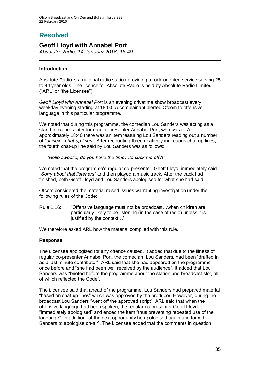### **Resolved**

### **Geoff Lloyd with Annabel Port**

*Absolute Radio, 14 January 2016, 18:40*

#### **Introduction**

Absolute Radio is a national radio station providing a rock-oriented service serving 25 to 44 year-olds. The licence for Absolute Radio is held by Absolute Radio Limited ("ARL" or "the Licensee").

*Geoff Lloyd with Annabel Port* is an evening drivetime show broadcast every weekday evening starting at 18:00. A complainant alerted Ofcom to offensive language in this particular programme.

We noted that during this programme, the comedian Lou Sanders was acting as a stand-in co-presenter for regular presenter Annabel Port, who was ill. At approximately 18:40 there was an item featuring Lou Sanders reading out a number of *"unisex…chat-up lines".* After recounting three relatively innocuous chat-up lines, the fourth chat-up line said by Lou Sanders was as follows:

*"Hello sweetie, do you have the time…to suck me off?!"*

We noted that the programme's regular co-presenter, Geoff Lloyd, immediately said *"Sorry about that listeners"* and then played a music track. After the track had finished, both Geoff Lloyd and Lou Sanders apologised for what she had said.

Ofcom considered the material raised issues warranting investigation under the following rules of the Code:

Rule 1.16: "Offensive language must not be broadcast…when children are particularly likely to be listening (in the case of radio) unless it is justified by the context…"

We therefore asked ARL how the material complied with this rule.

#### **Response**

The Licensee apologised for any offence caused. It added that due to the illness of regular co-presenter Annabel Port, the comedian, Lou Sanders, had been "drafted in as a last minute contributor". ARL said that she had appeared on the programme once before and "she had been well received by the audience". It added that Lou Sanders was "briefed before the programme about the station and broadcast slot, all of which reflected the Code".

The Licensee said that ahead of the programme, Lou Sanders had prepared material "based on chat-up lines" which was approved by the producer. However, during the broadcast Lou Sanders "went off the approved script". ARL said that when the offensive language had been spoken, the regular co-presenter Geoff Lloyd "immediately apologised" and ended the item "thus preventing repeated use of the language". In addition "at the next opportunity he apologised again and forced Sanders to apologise on-air". The Licensee added that the comments in question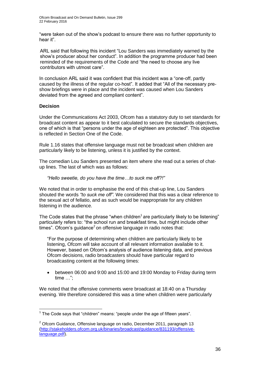"were taken out of the show's podcast to ensure there was no further opportunity to hear it".

ARL said that following this incident "Lou Sanders was immediately warned by the show's producer about her conduct". In addition the programme producer had been reminded of the requirements of the Code and "the need to choose any live contributors with utmost care".

In conclusion ARL said it was confident that this incident was a "one-off, partly caused by the illness of the regular co-host". It added that "All of the necessary preshow briefings were in place and the incident was caused when Lou Sanders deviated from the agreed and compliant content".

#### **Decision**

Under the Communications Act 2003, Ofcom has a statutory duty to set standards for broadcast content as appear to it best calculated to secure the standards objectives, one of which is that "persons under the age of eighteen are protected". This objective is reflected in Section One of the Code.

Rule 1.16 states that offensive language must not be broadcast when children are particularly likely to be listening, unless it is justified by the context.

The comedian Lou Sanders presented an item where she read out a series of chatup lines. The last of which was as follows:

#### *"Hello sweetie, do you have the time…to suck me off?!"*

We noted that in order to emphasise the end of this chat-up line, Lou Sanders shouted the words *"to suck me off".* We considered that this was a clear reference to the sexual act of fellatio, and as such would be inappropriate for any children listening in the audience.

The Code states that the phrase "when children $<sup>1</sup>$  are particularly likely to be listening"</sup> particularly refers to: "the school run and breakfast time, but might include other  $times$ ". Ofcom's guidance<sup>2</sup> on offensive language in radio notes that:

"For the purpose of determining when children are particularly likely to be listening, Ofcom will take account of all relevant information available to it. However, based on Ofcom's analysis of audience listening data, and previous Ofcom decisions, radio broadcasters should have particular regard to broadcasting content at the following times:

 between 06:00 and 9:00 and 15:00 and 19:00 Monday to Friday during term time …";

We noted that the offensive comments were broadcast at 18:40 on a Thursday evening. We therefore considered this was a time when children were particularly

<sup>1</sup>  $1$  The Code says that "children" means: "people under the age of fifteen years".

 $2$  Ofcom Guidance. Offensive language on radio, December 2011, paragraph 13 [\(http://stakeholders.ofcom.org.uk/binaries/broadcast/guidance/831193/offensive](http://stakeholders.ofcom.org.uk/binaries/broadcast/guidance/831193/offensive-language.pdf)[language.pdf\)](http://stakeholders.ofcom.org.uk/binaries/broadcast/guidance/831193/offensive-language.pdf).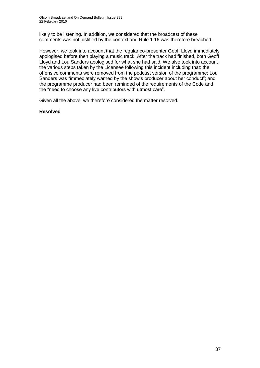likely to be listening. In addition, we considered that the broadcast of these comments was not justified by the context and Rule 1.16 was therefore breached.

However, we took into account that the regular co-presenter Geoff Lloyd immediately apologised before then playing a music track. After the track had finished, both Geoff Lloyd and Lou Sanders apologised for what she had said. We also took into account the various steps taken by the Licensee following this incident including that: the offensive comments were removed from the podcast version of the programme; Lou Sanders was "immediately warned by the show's producer about her conduct"; and the programme producer had been reminded of the requirements of the Code and the "need to choose any live contributors with utmost care".

Given all the above, we therefore considered the matter resolved.

#### **Resolved**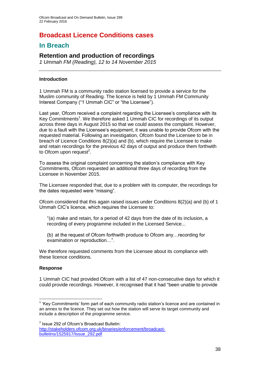### **Broadcast Licence Conditions cases**

### **In Breach**

### **Retention and production of recordings**

*1 Ummah FM (Reading), 12 to 14 November 2015*

#### **Introduction**

1 Ummah FM is a community radio station licensed to provide a service for the Muslim community of Reading. The licence is held by 1 Ummah FM Community Interest Company ("1 Ummah CIC" or "the Licensee").

Last year, Ofcom received a complaint regarding the Licensee's compliance with its Key Commitments<sup>1</sup>. We therefore asked 1 Ummah CIC for recordings of its output across three days in August 2015 so that we could assess the complaint. However, due to a fault with the Licensee's equipment, it was unable to provide Ofcom with the requested material. Following an investigation, Ofcom found the Licensee to be in breach of Licence Conditions 8(2)(a) and (b), which require the Licensee to make and retain recordings for the previous 42 days of output and produce them forthwith to Ofcom upon request<sup>2</sup>.

To assess the original complaint concerning the station's compliance with Key Commitments, Ofcom requested an additional three days of recording from the Licensee in November 2015.

The Licensee responded that, due to a problem with its computer, the recordings for the dates requested were "missing".

Ofcom considered that this again raised issues under Conditions 8(2)(a) and (b) of 1 Ummah CIC's licence, which requires the Licensee to:

"(a) make and retain, for a period of 42 days from the date of its inclusion, a recording of every programme included in the Licensed Service...

(b) at the request of Ofcom forthwith produce to Ofcom any…recording for examination or reproduction…".

We therefore requested comments from the Licensee about its compliance with these licence conditions.

#### **Response**

1

1 Ummah CIC had provided Ofcom with a list of 47 non-consecutive days for which it could provide recordings. However, it recognised that it had "been unable to provide

<sup>&</sup>lt;sup>1</sup> 'Key Commitments' form part of each community radio station's licence and are contained in an annex to the licence. They set out how the station will serve its target community and include a description of the programme service.

<sup>&</sup>lt;sup>2</sup> Issue 292 of Ofcom's Broadcast Bulletin:

[http://stakeholders.ofcom.org.uk/binaries/enforcement/broadcast](http://stakeholders.ofcom.org.uk/binaries/enforcement/broadcast-bulletins/1525917/Issue_292.pdf)[bulletins/1525917/Issue\\_292.pdf](http://stakeholders.ofcom.org.uk/binaries/enforcement/broadcast-bulletins/1525917/Issue_292.pdf)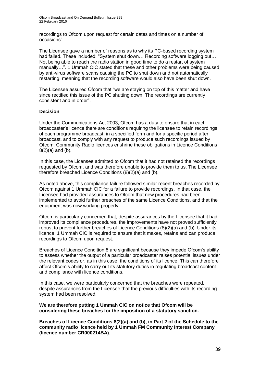recordings to Ofcom upon request for certain dates and times on a number of occasions".

The Licensee gave a number of reasons as to why its PC-based recording system had failed. These included: "System shut down... Recording software logging out... Not being able to reach the radio station in good time to do a restart of system manually…". 1 Ummah CIC stated that these and other problems were being caused by anti-virus software scans causing the PC to shut down and not automatically restarting, meaning that the recording software would also have been shut down.

The Licensee assured Ofcom that "we are staying on top of this matter and have since rectified this issue of the PC shutting down. The recordings are currently consistent and in order".

#### **Decision**

Under the Communications Act 2003, Ofcom has a duty to ensure that in each broadcaster's licence there are conditions requiring the licensee to retain recordings of each programme broadcast, in a specified form and for a specific period after broadcast, and to comply with any request to produce such recordings issued by Ofcom. Community Radio licences enshrine these obligations in Licence Conditions  $8(2)(a)$  and  $(b)$ .

In this case, the Licensee admitted to Ofcom that it had not retained the recordings requested by Ofcom, and was therefore unable to provide them to us. The Licensee therefore breached Licence Conditions (8)(2)(a) and (b).

As noted above, this compliance failure followed similar recent breaches recorded by Ofcom against 1 Ummah CIC for a failure to provide recordings. In that case, the Licensee had provided assurances to Ofcom that new procedures had been implemented to avoid further breaches of the same Licence Conditions, and that the equipment was now working properly.

Ofcom is particularly concerned that, despite assurances by the Licensee that it had improved its compliance procedures, the improvements have not proved sufficiently robust to prevent further breaches of Licence Conditions (8)(2)(a) and (b). Under its licence, 1 Ummah CIC is required to ensure that it makes, retains and can produce recordings to Ofcom upon request.

Breaches of Licence Condition 8 are significant because they impede Ofcom's ability to assess whether the output of a particular broadcaster raises potential issues under the relevant codes or, as in this case, the conditions of its licence. This can therefore affect Ofcom's ability to carry out its statutory duties in regulating broadcast content and compliance with licence conditions.

In this case, we were particularly concerned that the breaches were repeated, despite assurances from the Licensee that the previous difficulties with its recording system had been resolved.

**We are therefore putting 1 Ummah CIC on notice that Ofcom will be considering these breaches for the imposition of a statutory sanction.**

**Breaches of Licence Conditions 8(2)(a) and (b), in Part 2 of the Schedule to the community radio licence held by 1 Ummah FM Community Interest Company (licence number CR000214BA).**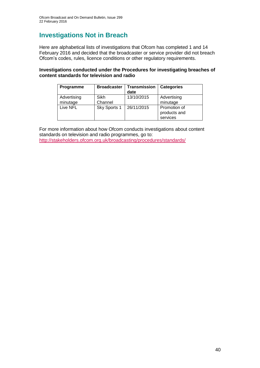### **Investigations Not in Breach**

Here are alphabetical lists of investigations that Ofcom has completed 1 and 14 February 2016 and decided that the broadcaster or service provider did not breach Ofcom's codes, rules, licence conditions or other regulatory requirements.

#### **Investigations conducted under the Procedures for investigating breaches of content standards for television and radio**

| Programme               | <b>Broadcaster</b> | <b>Transmission</b><br>date | <b>Categories</b>                        |
|-------------------------|--------------------|-----------------------------|------------------------------------------|
| Advertising<br>minutage | Sikh<br>Channel    | 13/10/2015                  | Advertising<br>minutage                  |
| Live NFL                | Sky Sports 1       | 26/11/2015                  | Promotion of<br>products and<br>services |

For more information about how Ofcom conducts investigations about content standards on television and radio programmes, go to: <http://stakeholders.ofcom.org.uk/broadcasting/procedures/standards/>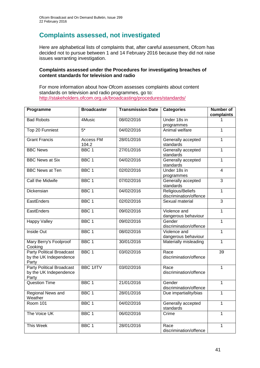# **Complaints assessed, not investigated**

Here are alphabetical lists of complaints that, after careful assessment, Ofcom has decided not to pursue between 1 and 14 February 2016 because they did not raise issues warranting investigation.

#### **Complaints assessed under the Procedures for investigating breaches of content standards for television and radio**

For more information about how Ofcom assesses complaints about content standards on television and radio programmes, go to: <http://stakeholders.ofcom.org.uk/broadcasting/procedures/standards/>

| Programme                                                           | <b>Broadcaster</b>        | <b>Transmission Date</b> | <b>Categories</b>                           | <b>Number of</b><br>complaints |
|---------------------------------------------------------------------|---------------------------|--------------------------|---------------------------------------------|--------------------------------|
| <b>Bad Robots</b>                                                   | 4Music                    | 08/02/2016               | Under 18s in<br>programmes                  |                                |
| Top 20 Funniest                                                     | $5*$                      | 04/02/2016               | Animal welfare                              | 1                              |
| <b>Grant Francis</b>                                                | <b>Access FM</b><br>104.2 | 28/01/2016               | Generally accepted<br>standards             | 1                              |
| <b>BBC News</b>                                                     | BBC <sub>1</sub>          | 27/01/2016               | Generally accepted<br>standards             | $\mathbf{1}$                   |
| <b>BBC News at Six</b>                                              | BBC <sub>1</sub>          | 04/02/2016               | Generally accepted<br>standards             | 1                              |
| <b>BBC News at Ten</b>                                              | BBC <sub>1</sub>          | 02/02/2016               | Under 18s in<br>programmes                  | 4                              |
| <b>Call the Midwife</b>                                             | BBC <sub>1</sub>          | 07/02/2016               | Generally accepted<br>standards             | $\overline{3}$                 |
| Dickensian                                                          | BBC <sub>1</sub>          | 04/02/2016               | Religious/Beliefs<br>discrimination/offence | $\mathbf{1}$                   |
| EastEnders                                                          | BBC <sub>1</sub>          | 02/02/2016               | Sexual material                             | $\overline{3}$                 |
| EastEnders                                                          | BBC <sub>1</sub>          | 09/02/2016               | Violence and<br>dangerous behaviour         | $\overline{1}$                 |
| <b>Happy Valley</b>                                                 | BBC <sub>1</sub>          | 09/02/2016               | Gender<br>discrimination/offence            | 1                              |
| <b>Inside Out</b>                                                   | BBC <sub>1</sub>          | 08/02/2016               | Violence and<br>dangerous behaviour         | $\overline{1}$                 |
| Mary Berry's Foolproof<br>Cooking                                   | BBC <sub>1</sub>          | 30/01/2016               | Materially misleading                       | $\mathbf{1}$                   |
| <b>Party Political Broadcast</b><br>by the UK Independence<br>Party | BBC <sub>1</sub>          | 03/02/2016               | Race<br>discrimination/offence              | 39                             |
| <b>Party Political Broadcast</b><br>by the UK Independence<br>Party | <b>BBC 1/ITV</b>          | 03/02/2016               | Race<br>discrimination/offence              | 1                              |
| <b>Question Time</b>                                                | BBC <sub>1</sub>          | 21/01/2016               | Gender<br>discrimination/offence            | $\mathbf{1}$                   |
| <b>Regional News and</b><br>Weather                                 | BBC <sub>1</sub>          | 28/01/2016               | Due impartiality/bias                       | $\mathbf 1$                    |
| <b>Room 101</b>                                                     | BBC <sub>1</sub>          | 04/02/2016               | Generally accepted<br>standards             | 1                              |
| The Voice UK                                                        | BBC <sub>1</sub>          | 06/02/2016               | Crime                                       | 1                              |
| <b>This Week</b>                                                    | BBC <sub>1</sub>          | 28/01/2016               | Race<br>discrimination/offence              | 1                              |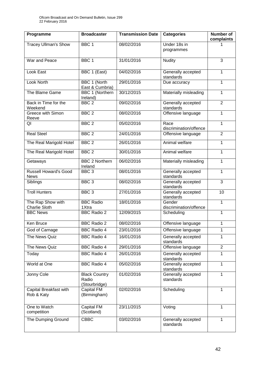| Programme                                   | <b>Broadcaster</b>                             | <b>Transmission Date</b> | <b>Categories</b>                | <b>Number of</b><br>complaints |
|---------------------------------------------|------------------------------------------------|--------------------------|----------------------------------|--------------------------------|
| <b>Tracey Ullman's Show</b>                 | BBC <sub>1</sub>                               | 08/02/2016               | Under 18s in<br>programmes       |                                |
| War and Peace                               | BBC <sub>1</sub>                               | 31/01/2016               | <b>Nudity</b>                    | 3                              |
| Look East                                   | BBC 1 (East)                                   | 04/02/2016               | Generally accepted<br>standards  | 1                              |
| <b>Look North</b>                           | <b>BBC 1 (North</b><br>East & Cumbria)         | 29/01/2016               | Due accuracy                     | 1                              |
| The Blame Game                              | BBC 1 (Northern<br>Ireland)                    | 30/12/2015               | Materially misleading            | 1                              |
| Back in Time for the<br>Weekend             | BBC <sub>2</sub>                               | 09/02/2016               | Generally accepted<br>standards  | $\overline{2}$                 |
| Greece with Simon<br>Reeve                  | BBC <sub>2</sub>                               | 08/02/2016               | Offensive language               | $\mathbf{1}$                   |
| QI                                          | BBC <sub>2</sub>                               | 05/02/2016               | Race<br>discrimination/offence   | 1                              |
| <b>Real Steel</b>                           | BBC <sub>2</sub>                               | 24/01/2016               | Offensive language               | $\overline{2}$                 |
| The Real Marigold Hotel                     | BBC <sub>2</sub>                               | 26/01/2016               | Animal welfare                   | 1                              |
| The Real Marigold Hotel                     | BBC <sub>2</sub>                               | 30/01/2016               | Animal welfare                   | $\mathbf{1}$                   |
| Getaways                                    | <b>BBC 2 Northern</b><br>Ireland               | 06/02/2016               | Materially misleading            | 1                              |
| <b>Russell Howard's Good</b><br><b>News</b> | BBC <sub>3</sub>                               | 08/01/2016               | Generally accepted<br>standards  | 1                              |
| Siblings                                    | BBC <sub>3</sub>                               | 08/02/2016               | Generally accepted<br>standards  | 3                              |
| <b>Troll Hunters</b>                        | BBC <sub>3</sub>                               | 27/01/2016               | Generally accepted<br>standards  | 10                             |
| The Rap Show with<br><b>Charlie Sloth</b>   | <b>BBC Radio</b><br>1Xtra                      | 18/01/2016               | Gender<br>discrimination/offence | $\mathbf{1}$                   |
| <b>BBC News</b>                             | <b>BBC Radio 2</b>                             | 12/09/2015               | Scheduling                       | 1                              |
| Ken Bruce                                   | <b>BBC Radio 2</b>                             | 08/02/2016               | Offensive language               | 1                              |
| God of Carnage                              | <b>BBC Radio 4</b>                             | 23/01/2016               | Offensive language               | 1                              |
| The News Quiz                               | <b>BBC Radio 4</b>                             | 16/01/2016               | Generally accepted<br>standards  | 1                              |
| The News Quiz                               | <b>BBC Radio 4</b>                             | 29/01/2016               | Offensive language               | $\overline{2}$                 |
| Today                                       | <b>BBC Radio 4</b>                             | 26/01/2016               | Generally accepted<br>standards  | 1                              |
| World at One                                | <b>BBC Radio 4</b>                             | 05/02/2016               | Generally accepted<br>standards  | 1                              |
| Jonny Cole                                  | <b>Black Country</b><br>Radio<br>(Stourbridge) | 01/02/2016               | Generally accepted<br>standards  | $\mathbf{1}$                   |
| Capital Breakfast with<br>Rob & Katy        | Capital FM<br>(Birmingham)                     | 02/02/2016               | Scheduling                       | 1                              |
| One to Watch<br>competition                 | Capital FM<br>(Scotland)                       | 23/11/2015               | Voting                           | 1                              |
| The Dumping Ground                          | <b>CBBC</b>                                    | 03/02/2016               | Generally accepted<br>standards  | 1                              |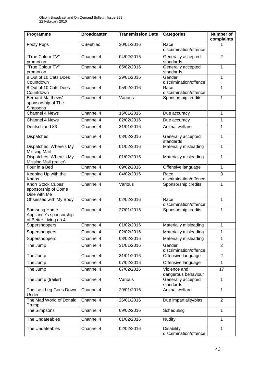| Programme                                                        | <b>Broadcaster</b> | <b>Transmission Date</b> | <b>Categories</b>                           | <b>Number of</b><br>complaints |
|------------------------------------------------------------------|--------------------|--------------------------|---------------------------------------------|--------------------------------|
| <b>Footy Pups</b>                                                | <b>CBeebies</b>    | 30/01/2016               | Race<br>discrimination/offence              |                                |
| "True Colour TV"<br>promotion                                    | Channel 4          | 04/02/2016               | Generally accepted<br>standards             | $\overline{2}$                 |
| "True Colour TV"<br>promotion                                    | Channel 4          | 05/02/2016               | Generally accepted<br>standards             | 1                              |
| 8 Out of 10 Cats Does<br>Countdown                               | Channel 4          | 29/01/2016               | Gender<br>discrimination/offence            | 1                              |
| 8 Out of 10 Cats Does<br>Countdown                               | Channel 4          | 05/02/2016               | Race<br>discrimination/offence              | 1                              |
| <b>Bernard Matthews'</b><br>sponsorship of The<br>Simpsons       | Channel 4          | Various                  | Sponsorship credits                         | 1                              |
| <b>Channel 4 News</b>                                            | Channel 4          | 15/01/2016               | Due accuracy                                | $\mathbf{1}$                   |
| <b>Channel 4 News</b>                                            | Channel 4          | 02/02/2016               | Due accuracy                                | 1                              |
| Deutschland 83                                                   | Channel 4          | 31/01/2016               | Animal welfare                              | 1                              |
| Dispatches                                                       | Channel 4          | 08/02/2016               | Generally accepted<br>standards             | 1                              |
| Dispatches: Where's My<br><b>Missing Mail</b>                    | Channel 4          | 01/02/2016               | Materially misleading                       | $\mathbf{1}$                   |
| Dispatches: Where's My<br>Missing Mail (trailer)                 | Channel 4          | 01/02/2016               | Materially misleading                       | 1                              |
| Four in a Bed                                                    | Channel 4          | 09/02/2016               | Offensive language                          | 1                              |
| Keeping Up with the<br>Khans                                     | Channel 4          | 04/02/2016               | Race<br>discrimination/offence              | 3                              |
| Knorr Stock Cubes'<br>sponsorship of Come<br>Dine with Me        | Channel 4          | Various                  | Sponsorship credits                         | 1                              |
| Obsessed with My Body                                            | Channel 4          | 02/02/2016               | Race<br>discrimination/offence              | 1                              |
| Samsung Home<br>Appliance's sponsorship<br>of Better Living on 4 | Channel 4          | 27/01/2016               | Sponsorship credits                         | 1                              |
| Supershoppers                                                    | Channel 4          | 01/02/2016               | Materially misleading                       | 1                              |
| Supershoppers                                                    | Channel 4          | 02/02/2016               | Materially misleading                       | 1                              |
| Supershoppers                                                    | Channel 4          | 08/02/2016               | Materially misleading                       | $\mathbf{1}$                   |
| The Jump                                                         | Channel 4          | 31/01/2016               | Gender<br>discrimination/offence            | $\overline{2}$                 |
| The Jump                                                         | Channel 4          | 31/01/2016               | Offensive language                          | $\overline{2}$                 |
| The Jump                                                         | Channel 4          | 07/02/2016               | Offensive language                          | $\mathbf{1}$                   |
| The Jump                                                         | Channel 4          | 07/02/2016               | Violence and<br>dangerous behaviour         | 17                             |
| The Jump (trailer)                                               | Channel 4          | Various                  | Generally accepted<br>standards             | 1                              |
| The Last Leg Goes Down<br>Under                                  | Channel 4          | 29/01/2016               | Animal welfare                              | 1                              |
| The Mad World of Donald<br>Trump                                 | Channel 4          | 26/01/2016               | Due impartiality/bias                       | $\overline{2}$                 |
| The Simpsons                                                     | Channel 4          | 09/02/2016               | Scheduling                                  | $\mathbf{1}$                   |
| The Undateables                                                  | Channel 4          | 01/02/2016               | <b>Nudity</b>                               | 1                              |
| The Undateables                                                  | Channel 4          | 02/02/2016               | <b>Disability</b><br>discrimination/offence | 1                              |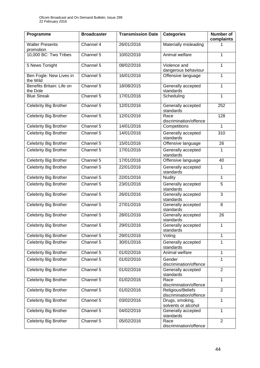| Programme                             | <b>Broadcaster</b> | <b>Transmission Date</b> | <b>Categories</b>                           | Number of<br>complaints |
|---------------------------------------|--------------------|--------------------------|---------------------------------------------|-------------------------|
| <b>Walter Presents</b><br>promotion   | Channel 4          | 26/01/2016               | Materially misleading                       |                         |
| 10,000 BC: Two Tribes                 | Channel 5          | 10/02/2016               | Animal welfare                              | 1                       |
| 5 News Tonight                        | Channel 5          | 08/02/2016               | Violence and<br>dangerous behaviour         | 1                       |
| Ben Fogle: New Lives in<br>the Wild   | Channel 5          | 16/01/2016               | Offensive language                          | 1                       |
| Benefits Britain: Life on<br>the Dole | Channel 5          | 18/08/2015               | Generally accepted<br>standards             | 1                       |
| <b>Blue Streak</b>                    | Channel 5          | 17/01/2016               | Scheduling                                  | 1                       |
| Celebrity Big Brother                 | Channel 5          | 12/01/2016               | Generally accepted<br>standards             | 252                     |
| Celebrity Big Brother                 | Channel 5          | 12/01/2016               | Race<br>discrimination/offence              | 128                     |
| Celebrity Big Brother                 | Channel 5          | 14/01/2016               | Competitions                                | $\mathbf{1}$            |
| <b>Celebrity Big Brother</b>          | Channel 5          | 14/01/2016               | Generally accepted<br>standards             | 310                     |
| Celebrity Big Brother                 | Channel 5          | 15/01/2016               | Offensive language                          | 26                      |
| Celebrity Big Brother                 | Channel 5          | 17/01/2016               | Generally accepted<br>standards             | $\mathbf{1}$            |
| Celebrity Big Brother                 | Channel 5          | 17/01/2016               | Offensive language                          | 40                      |
| <b>Celebrity Big Brother</b>          | Channel 5          | 22/01/2016               | Generally accepted<br>standards             | $\mathbf{1}$            |
| Celebrity Big Brother                 | Channel 5          | 22/01/2016               | <b>Nudity</b>                               | $\mathbf{1}$            |
| Celebrity Big Brother                 | Channel 5          | 23/01/2016               | Generally accepted<br>standards             | 5                       |
| Celebrity Big Brother                 | Channel 5          | 26/01/2016               | Generally accepted<br>standards             | 3                       |
| <b>Celebrity Big Brother</b>          | Channel 5          | 27/01/2016               | Generally accepted<br>standards             | 8                       |
| Celebrity Big Brother                 | Channel 5          | 28/01/2016               | Generally accepted<br>standards             | 26                      |
| Celebrity Big Brother                 | Channel 5          | 29/01/2016               | Generally accepted<br>standards             | 1                       |
| <b>Celebrity Big Brother</b>          | Channel 5          | 29/01/2016               | Voting                                      | $\mathbf{1}$            |
| Celebrity Big Brother                 | Channel 5          | 30/01/2016               | Generally accepted<br>standards             | 1                       |
| Celebrity Big Brother                 | Channel 5          | 01/02/2016               | Animal welfare                              | $\mathbf{1}$            |
| Celebrity Big Brother                 | Channel 5          | 01/02/2016               | Gender<br>discrimination/offence            | $\mathbf{1}$            |
| Celebrity Big Brother                 | Channel 5          | 01/02/2016               | Generally accepted<br>standards             | $\overline{2}$          |
| Celebrity Big Brother                 | Channel 5          | 01/02/2016               | Race<br>discrimination/offence              | $\mathbf{1}$            |
| Celebrity Big Brother                 | Channel 5          | 01/02/2016               | Religious/Beliefs<br>discrimination/offence | $\overline{2}$          |
| Celebrity Big Brother                 | Channel 5          | 03/02/2016               | Drugs, smoking,<br>solvents or alcohol      | 1                       |
| Celebrity Big Brother                 | Channel 5          | 04/02/2016               | Generally accepted<br>standards             | $\mathbf{1}$            |
| Celebrity Big Brother                 | Channel 5          | 05/02/2016               | Race<br>discrimination/offence              | $\overline{2}$          |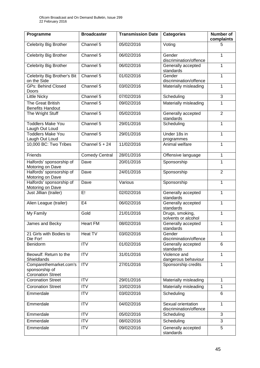| Programme                                                            | <b>Broadcaster</b>    | <b>Transmission Date</b> | <b>Categories</b>                            | Number of<br>complaints |
|----------------------------------------------------------------------|-----------------------|--------------------------|----------------------------------------------|-------------------------|
| Celebrity Big Brother                                                | Channel 5             | 05/02/2016               | Voting                                       | 5                       |
| <b>Celebrity Big Brother</b>                                         | Channel 5             | 06/02/2016               | Gender<br>discrimination/offence             | 1                       |
| <b>Celebrity Big Brother</b>                                         | Channel 5             | 06/02/2016               | Generally accepted<br>standards              | 1                       |
| Celebrity Big Brother's Bit<br>on the Side                           | Channel 5             | 01/02/2016               | Gender<br>discrimination/offence             | 1                       |
| <b>GPs: Behind Closed</b><br>Doors                                   | Channel 5             | 03/02/2016               | Materially misleading                        | 1                       |
| <b>Little Nicky</b>                                                  | Channel 5             | 07/02/2016               | Scheduling                                   | 3                       |
| The Great British<br><b>Benefits Handout</b>                         | Channel 5             | 09/02/2016               | Materially misleading                        | 1                       |
| The Wright Stuff                                                     | Channel 5             | 05/02/2016               | Generally accepted<br>standards              | $\overline{2}$          |
| <b>Toddlers Make You</b><br>Laugh Out Loud                           | Channel 5             | 29/01/2016               | Scheduling                                   | 1                       |
| <b>Toddlers Make You</b><br>Laugh Out Loud                           | Channel 5             | 29/01/2016               | Under 18s in<br>programmes                   | 1                       |
| 10,000 BC: Two Tribes                                                | Channel $5 + 24$      | 11/02/2016               | Animal welfare                               | $\mathbf{1}$            |
| Friends                                                              | <b>Comedy Central</b> | 28/01/2016               | Offensive language                           | 1                       |
| Halfords' sponsorship of<br>Motoring on Dave                         | Dave                  | 20/01/2016               | Sponsorship                                  | $\mathbf{1}$            |
| Halfords' sponsorship of<br>Motoring on Dave                         | Dave                  | 24/01/2016               | Sponsorship                                  | $\overline{2}$          |
| Halfords' sponsorship of<br>Motoring on Dave                         | Dave                  | Various                  | Sponsorship                                  | 1                       |
| Just Jillian (trailer)                                               | E!                    | 02/02/2016               | Generally accepted<br>standards              | 1                       |
| Alien League (trailer)                                               | E4                    | 06/02/2016               | Generally accepted<br>standards              | 1                       |
| My Family                                                            | Gold                  | 21/01/2016               | Drugs, smoking,<br>solvents or alcohol       | 1                       |
| James and Becky                                                      | <b>Heart FM</b>       | 08/02/2016               | Generally accepted<br>standards              | 1                       |
| 21 Girls with Bodies to<br>Die For!                                  | Heat TV               | 03/02/2016               | Gender<br>discrimination/offence             | 1                       |
| Benidorm                                                             | <b>ITV</b>            | 01/02/2016               | Generally accepted<br>standards              | $6\phantom{1}$          |
| Beowulf: Return to the<br>Shieldlands                                | <b>ITV</b>            | 31/01/2016               | Violence and<br>dangerous behaviour          | $\mathbf{1}$            |
| Comparethemarket.com's<br>sponsorship of<br><b>Coronation Street</b> | <b>ITV</b>            | 27/01/2016               | Sponsorship credits                          | 1                       |
| <b>Coronation Street</b>                                             | <b>ITV</b>            | 29/01/2016               | Materially misleading                        | $\mathbf{1}$            |
| <b>Coronation Street</b>                                             | <b>ITV</b>            | 10/02/2016               | Materially misleading                        | 1                       |
| Emmerdale                                                            | <b>ITV</b>            | 03/02/2016               | Scheduling                                   | 6                       |
| Emmerdale                                                            | <b>ITV</b>            | 04/02/2016               | Sexual orientation<br>discrimination/offence | $\mathbf{1}$            |
| Emmerdale                                                            | <b>ITV</b>            | 05/02/2016               | Scheduling                                   | 3                       |
| Emmerdale                                                            | <b>ITV</b>            | 08/02/2016               | Scheduling                                   | 3                       |
| Emmerdale                                                            | <b>ITV</b>            | 09/02/2016               | Generally accepted<br>standards              | 5                       |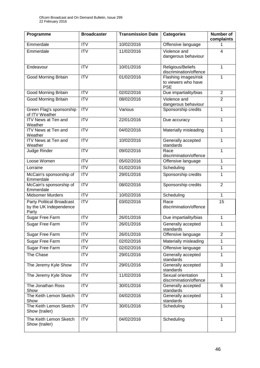| Programme                                                           | <b>Broadcaster</b> | <b>Transmission Date</b> | <b>Categories</b>                            | <b>Number of</b><br>complaints |
|---------------------------------------------------------------------|--------------------|--------------------------|----------------------------------------------|--------------------------------|
| Emmerdale                                                           | $\overline{IV}$    | 10/02/2016               | Offensive language                           |                                |
| Emmerdale                                                           | $\overline{IV}$    | 11/02/2016               | Violence and                                 | 4                              |
|                                                                     |                    |                          | dangerous behaviour                          |                                |
| Endeavour                                                           | $\overline{ITV}$   | 10/01/2016               | Religious/Beliefs<br>discrimination/offence  | 1                              |
| Good Morning Britain                                                | <b>ITV</b>         | 01/02/2016               | Flashing images/risk<br>to viewers who have  | 1                              |
|                                                                     |                    |                          | <b>PSE</b>                                   |                                |
| <b>Good Morning Britain</b>                                         | <b>ITV</b>         | 02/02/2016               | Due impartiality/bias                        | $\overline{2}$                 |
| <b>Good Morning Britain</b>                                         | $\overline{ITV}$   | 08/02/2016               | Violence and<br>dangerous behaviour          | $\overline{2}$                 |
| Green Flag's sponsorship<br>of ITV Weather                          | $\overline{IV}$    | Various                  | Sponsorship credits                          | 1                              |
| <b>ITV</b> News at Ten and<br>Weather                               | <b>ITV</b>         | 22/01/2016               | Due accuracy                                 | 1                              |
| ITV News at Ten and<br>Weather                                      | $\overline{IV}$    | 04/02/2016               | Materially misleading                        | $\mathbf{1}$                   |
| <b>ITV News at Ten and</b><br>Weather                               | $\overline{IV}$    | 10/02/2016               | Generally accepted<br>standards              | 1                              |
| Judge Rinder                                                        | $\overline{IV}$    | 09/02/2016               | Race<br>discrimination/offence               | 1                              |
| Loose Women                                                         | <b>ITV</b>         | 05/02/2016               | Offensive language                           | $\mathbf{1}$                   |
| Lorraine                                                            | ITV                | 01/02/2016               | Scheduling                                   | $\mathbf{1}$                   |
| McCain's sponsorship of<br>Emmerdale                                | ITV                | 29/01/2016               | Sponsorship credits                          | 1                              |
| McCain's sponsorship of<br>Emmerdale                                | $\overline{IV}$    | 08/02/2016               | Sponsorship credits                          | $\overline{2}$                 |
| <b>Midsomer Murders</b>                                             | <b>ITV</b>         | 10/02/2016               | Scheduling                                   | $\mathbf{1}$                   |
| <b>Party Political Broadcast</b><br>by the UK Independence<br>Party | $\overline{ITV}$   | 03/02/2016               | Race<br>discrimination/offence               | 15                             |
| Sugar Free Farm                                                     | <b>ITV</b>         | 26/01/2016               | Due impartiality/bias                        | 1                              |
| <b>Sugar Free Farm</b>                                              | $\overline{ITV}$   | 26/01/2016               | Generally accepted<br>standards              | $\mathbf{1}$                   |
| Sugar Free Farm                                                     | <b>ITV</b>         | 26/01/2016               | Offensive language                           | $\overline{2}$                 |
| Sugar Free Farm                                                     | <b>ITV</b>         | 02/02/2016               | Materially misleading                        | 1                              |
| Sugar Free Farm                                                     | <b>ITV</b>         | 02/02/2016               | Offensive language                           | 1                              |
| The Chase                                                           | <b>ITV</b>         | 29/01/2016               | Generally accepted<br>standards              | 1                              |
| The Jeremy Kyle Show                                                | <b>ITV</b>         | 29/01/2016               | Generally accepted<br>standards              | 3                              |
| The Jeremy Kyle Show                                                | <b>ITV</b>         | 11/02/2016               | Sexual orientation<br>discrimination/offence | $\mathbf{1}$                   |
| The Jonathan Ross<br>Show                                           | <b>ITV</b>         | 30/01/2016               | Generally accepted<br>standards              | 6                              |
| The Keith Lemon Sketch<br>Show                                      | <b>ITV</b>         | 04/02/2016               | Generally accepted<br>standards              | 1                              |
| The Keith Lemon Sketch<br>Show (trailer)                            | ITV                | 30/01/2016               | Scheduling                                   | $\mathbf{1}$                   |
| The Keith Lemon Sketch<br>Show (trailer)                            | <b>ITV</b>         | 04/02/2016               | Scheduling                                   | 1                              |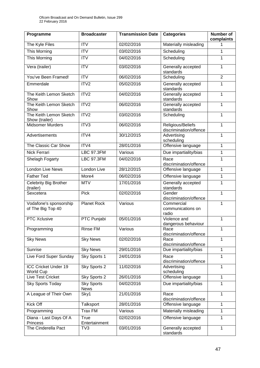| Programme                                   | <b>Broadcaster</b>               | <b>Transmission Date</b> | <b>Categories</b>                           | Number of<br>complaints |
|---------------------------------------------|----------------------------------|--------------------------|---------------------------------------------|-------------------------|
| The Kyle Files                              | <b>ITV</b>                       | 02/02/2016               | Materially misleading                       | 1                       |
| <b>This Morning</b>                         | $\overline{ITV}$                 | 03/02/2016               | Scheduling                                  | 1                       |
| <b>This Morning</b>                         | <b>ITV</b>                       | 04/02/2016               | Scheduling                                  | 1                       |
| Vera (trailer)                              | ITV                              | 03/02/2016               | Generally accepted<br>standards             | 1                       |
| You've Been Framed!                         | $\overline{\text{IV}}$           | 06/02/2016               | Scheduling                                  | $\overline{2}$          |
| Emmerdale                                   | ITV <sub>2</sub>                 | 05/02/2016               | Generally accepted<br>standards             | 1                       |
| The Keith Lemon Sketch<br>Show              | ITV2                             | 04/02/2016               | Generally accepted<br>standards             | 1                       |
| The Keith Lemon Sketch<br>Show              | ITV2                             | 06/02/2016               | Generally accepted<br>standards             | $\mathbf{1}$            |
| The Keith Lemon Sketch<br>Show (trailer)    | ITV2                             | 03/02/2016               | Scheduling                                  | 1                       |
| <b>Midsomer Murders</b>                     | ITV3                             | 06/02/2016               | Religious/Beliefs<br>discrimination/offence | 1                       |
| Advertisements                              | ITV4                             | 30/12/2015               | Advertising<br>scheduling                   | 1                       |
| The Classic Car Show                        | ITV4                             | 28/01/2016               | Offensive language                          | $\mathbf{1}$            |
| Nick Ferrari                                | <b>LBC 97.3FM</b>                | Various                  | Due impartiality/bias                       | 1                       |
| Shelagh Fogarty                             | <b>LBC 97.3FM</b>                | 04/02/2016               | Race<br>discrimination/offence              | 1                       |
| <b>London Live News</b>                     | London Live                      | 28/12/2015               | Offensive language                          | 1                       |
| <b>Father Ted</b>                           | More4                            | 06/02/2016               | Offensive language                          | 1                       |
| <b>Celebrity Big Brother</b><br>(trailer)   | <b>MTV</b>                       | 17/01/2016               | Generally accepted<br>standards             | 1                       |
| Sexcetera                                   | Pick                             | 02/02/2016               | Gender<br>discrimination/offence            | 1                       |
| Vodafone's sponsorship<br>of The Big Top 40 | <b>Planet Rock</b>               | Various                  | Commercial<br>communications on<br>radio    | 1                       |
| <b>PTC Xclusive</b>                         | PTC Punjabi                      | 05/01/2016               | Violence and<br>dangerous behaviour         | 1                       |
| Programming                                 | <b>Rinse FM</b>                  | Various                  | Race<br>discrimination/offence              | 1                       |
| <b>Sky News</b>                             | <b>Sky News</b>                  | 02/02/2016               | Race<br>discrimination/offence              | 1                       |
| Sunrise                                     | <b>Sky News</b>                  | 29/01/2016               | Due impartiality/bias                       | 1                       |
| Live Ford Super Sunday                      | Sky Sports 1                     | 24/01/2016               | Race<br>discrimination/offence              | 1                       |
| ICC Cricket Under 19<br><b>World Cup</b>    | Sky Sports 2                     | 11/02/2016               | Advertising<br>scheduling                   | 1                       |
| <b>Live Test Cricket</b>                    | Sky Sports 2                     | 26/01/2016               | Offensive language                          | 1                       |
| Sky Sports Today                            | <b>Sky Sports</b><br><b>News</b> | 04/02/2016               | Due impartiality/bias                       | 1                       |
| A League of Their Own                       | Sky1                             | 21/01/2016               | Race<br>discrimination/offence              | $\mathbf{1}$            |
| Kick Off                                    | Talksport                        | 28/01/2016               | Offensive language                          | 1                       |
| Programming                                 | Trax FM                          | Various                  | Materially misleading                       | 1                       |
| Diana - Last Days Of A<br><b>Princess</b>   | True<br>Entertainment            | 02/02/2016               | Offensive language                          | $\mathbf{1}$            |
| The Cinderella Pact                         | TV3                              | 03/01/2016               | Generally accepted<br>standards             | 1                       |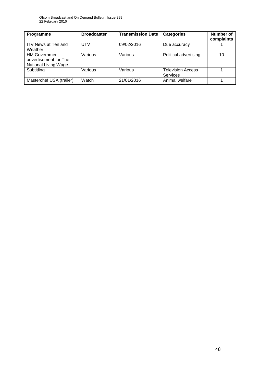| Programme                                                                    | <b>Broadcaster</b> | <b>Transmission Date</b> | <b>Categories</b>                           | <b>Number of</b><br>complaints |
|------------------------------------------------------------------------------|--------------------|--------------------------|---------------------------------------------|--------------------------------|
| <b>ITV News at Ten and</b><br>Weather                                        | <b>UTV</b>         | 09/02/2016               | Due accuracy                                |                                |
| <b>HM Government</b><br>advertisement for The<br><b>National Living Wage</b> | Various            | Various                  | Political advertising                       | 10                             |
| Subtitling                                                                   | Various            | Various                  | <b>Television Access</b><br><b>Services</b> |                                |
| Masterchef USA (trailer)                                                     | Watch              | 21/01/2016               | Animal welfare                              |                                |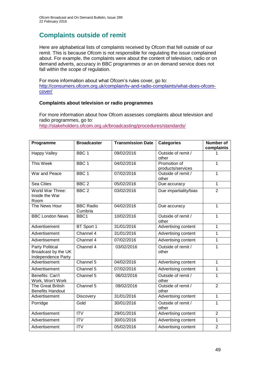# **Complaints outside of remit**

Here are alphabetical lists of complaints received by Ofcom that fell outside of our remit. This is because Ofcom is not responsible for regulating the issue complained about. For example, the complaints were about the content of television, radio or on demand adverts, accuracy in BBC programmes or an on demand service does not fall within the scope of regulation.

For more information about what Ofcom's rules cover, go to: [http://consumers.ofcom.org.uk/complain/tv-and-radio-complaints/what-does-ofcom](http://consumers.ofcom.org.uk/complain/tv-and-radio-complaints/what-does-ofcom-cover/)[cover/](http://consumers.ofcom.org.uk/complain/tv-and-radio-complaints/what-does-ofcom-cover/)

#### **Complaints about television or radio programmes**

For more information about how Ofcom assesses complaints about television and radio programmes, go to: <http://stakeholders.ofcom.org.uk/broadcasting/procedures/standards/>

| Programme                                                           | <b>Broadcaster</b>          | <b>Transmission Date</b> | <b>Categories</b>           | <b>Number of</b> |
|---------------------------------------------------------------------|-----------------------------|--------------------------|-----------------------------|------------------|
|                                                                     | BBC <sub>1</sub>            | 09/02/2016               | Outside of remit /          | complaints       |
| <b>Happy Valley</b>                                                 |                             |                          | other                       |                  |
| <b>This Week</b>                                                    | BBC <sub>1</sub>            | 04/02/2016               | Promotion of                | $\mathbf{1}$     |
|                                                                     |                             |                          | products/services           |                  |
| War and Peace                                                       | BBC <sub>1</sub>            | 07/02/2016               | Outside of remit /<br>other | 1                |
| Sea Cities                                                          | BBC <sub>2</sub>            | 05/02/2016               | Due accuracy                | 1                |
| World War Three:<br>Inside the War<br>Room                          | BBC <sub>2</sub>            | 03/02/2016               | Due impartiality/bias       | $\overline{2}$   |
| The News Hour                                                       | <b>BBC Radio</b><br>Cumbria | 04/02/2016               | Due accuracy                | 1                |
| <b>BBC London News</b>                                              | BBC1                        | 10/02/2016               | Outside of remit /<br>other | $\mathbf{1}$     |
| Advertisement                                                       | BT Sport 1                  | 31/01/2016               | Advertising content         | $\mathbf{1}$     |
| Advertisement                                                       | Channel 4                   | 31/01/2016               | Advertising content         | 1                |
| Advertisement                                                       | Channel 4                   | 07/02/2016               | Advertising content         | $\mathbf 1$      |
| <b>Party Political</b><br>Broadcast by the UK<br>Independence Party | Channel 4                   | 03/02/2016               | Outside of remit /<br>other | 1                |
| Advertisement                                                       | Channel 5                   | 04/02/2016               | Advertising content         | $\mathbf{1}$     |
| Advertisement                                                       | Channel 5                   | 07/02/2016               | Advertising content         | 1                |
| Benefits: Can't<br>Work, Won't Work                                 | Channel 5                   | 06/02/2016               | Outside of remit /<br>other | $\mathbf{1}$     |
| <b>The Great British</b><br><b>Benefits Handout</b>                 | Channel 5                   | 09/02/2016               | Outside of remit /<br>other | $\overline{2}$   |
| Advertisement                                                       | Discovery                   | 31/01/2016               | Advertising content         | $\mathbf{1}$     |
| Porridge                                                            | Gold                        | 30/01/2016               | Outside of remit /<br>other | 1                |
| Advertisement                                                       | $\overline{IV}$             | 29/01/2016               | Advertising content         | $\overline{2}$   |
| Advertisement                                                       | <b>ITV</b>                  | 30/01/2016               | Advertising content         | $\mathbf 1$      |
| Advertisement                                                       | <b>ITV</b>                  | 05/02/2016               | Advertising content         | $\overline{2}$   |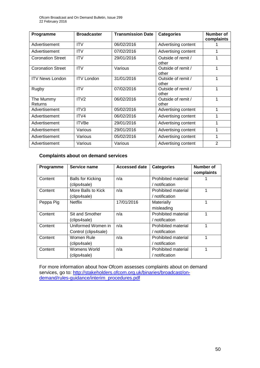| Programme                | <b>Broadcaster</b> | <b>Transmission Date</b> | <b>Categories</b>           | Number of<br>complaints |
|--------------------------|--------------------|--------------------------|-----------------------------|-------------------------|
| Advertisement            | <b>ITV</b>         | 06/02/2016               | Advertising content         |                         |
| Advertisement            | <b>ITV</b>         | 07/02/2016               | Advertising content         |                         |
| <b>Coronation Street</b> | <b>ITV</b>         | 29/01/2016               | Outside of remit /<br>other |                         |
| <b>Coronation Street</b> | <b>ITV</b>         | Various                  | Outside of remit /<br>other |                         |
| <b>ITV News London</b>   | <b>ITV London</b>  | 31/01/2016               | Outside of remit /<br>other |                         |
| Rugby                    | <b>ITV</b>         | 07/02/2016               | Outside of remit /<br>other | 1                       |
| The Mummy<br>Returns     | ITV <sub>2</sub>   | 06/02/2016               | Outside of remit /<br>other |                         |
| Advertisement            | ITV <sub>3</sub>   | 05/02/2016               | Advertising content         | 1                       |
| Advertisement            | ITV4               | 06/02/2016               | Advertising content         |                         |
| Advertisement            | <b>ITVBe</b>       | 29/01/2016               | Advertising content         |                         |
| Advertisement            | Various            | 29/01/2016               | Advertising content         |                         |
| Advertisement            | Various            | 05/02/2016               | Advertising content         | 1                       |
| Advertisement            | Various            | Various                  | Advertising content         | $\overline{2}$          |

#### **Complaints about on demand services**

| Programme | Service name             | <b>Accessed date</b> | <b>Categories</b>   | Number of  |
|-----------|--------------------------|----------------------|---------------------|------------|
|           |                          |                      |                     | complaints |
| Content   | <b>Balls for Kicking</b> | n/a                  | Prohibited material |            |
|           | (clips4sale)             |                      | / notification      |            |
| Content   | More Balls to Kick       | n/a                  | Prohibited material |            |
|           | (clips4sale)             |                      | / notification      |            |
| Peppa Pig | Netflix                  | 17/01/2016           | Materially          |            |
|           |                          |                      | misleading          |            |
| Content   | Sit and Smother          | n/a                  | Prohibited material |            |
|           | (clips4sale)             |                      | / notification      |            |
| Content   | Uniformed Women in       | n/a                  | Prohibited material |            |
|           | Control (clips4sale)     |                      | / notification      |            |
| Content   | Women Rule               | n/a                  | Prohibited material |            |
|           | (clips4sale)             |                      | / notification      |            |
| Content   | Womens World             | n/a                  | Prohibited material |            |
|           | (clips4sale)             |                      | / notification      |            |

For more information about how Ofcom assesses complaints about on demand services, go to: [http://stakeholders.ofcom.org.uk/binaries/broadcast/on](http://stakeholders.ofcom.org.uk/binaries/broadcast/on-demand/rules-guidance/interim_procedures.pdf)[demand/rules-guidance/interim\\_procedures.pdf](http://stakeholders.ofcom.org.uk/binaries/broadcast/on-demand/rules-guidance/interim_procedures.pdf)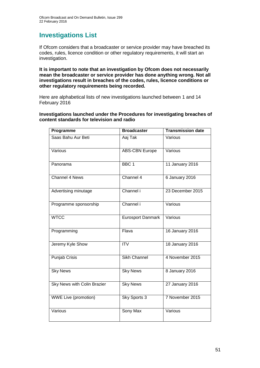### **Investigations List**

If Ofcom considers that a broadcaster or service provider may have breached its codes, rules, licence condition or other regulatory requirements, it will start an investigation.

**It is important to note that an investigation by Ofcom does not necessarily mean the broadcaster or service provider has done anything wrong. Not all investigations result in breaches of the codes, rules, licence conditions or other regulatory requirements being recorded.**

Here are alphabetical lists of new investigations launched between 1 and 14 February 2016

**Investigations launched under the Procedures for investigating breaches of content standards for television and radio**

| Programme                   | <b>Broadcaster</b>       | <b>Transmission date</b> |
|-----------------------------|--------------------------|--------------------------|
| Saas Bahu Aur Beti          | Aaj Tak                  | Various                  |
| Various                     | <b>ABS-CBN Europe</b>    | Various                  |
| Panorama                    | BBC <sub>1</sub>         | 11 January 2016          |
| <b>Channel 4 News</b>       | Channel 4                | 6 January 2016           |
| Advertising minutage        | Channel i                | 23 December 2015         |
| Programme sponsorship       | Channel i                | Various                  |
| <b>WTCC</b>                 | <b>Eurosport Danmark</b> | Various                  |
| Programming                 | Flava                    | 16 January 2016          |
| Jeremy Kyle Show            | <b>ITV</b>               | 18 January 2016          |
| <b>Punjab Crisis</b>        | <b>Sikh Channel</b>      | 4 November 2015          |
| <b>Sky News</b>             | <b>Sky News</b>          | 8 January 2016           |
| Sky News with Colin Brazier | <b>Sky News</b>          | 27 January 2016          |
| <b>WWE Live (promotion)</b> | Sky Sports 3             | 7 November 2015          |
| Various                     | <b>Sony Max</b>          | Various                  |